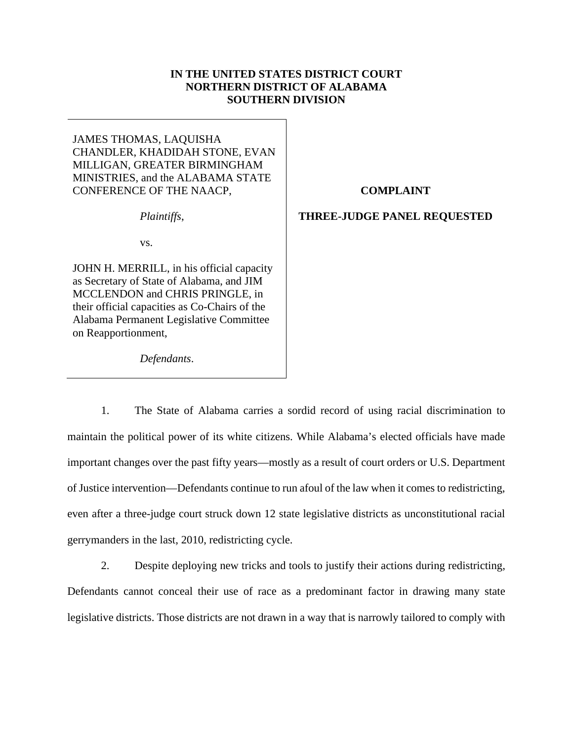## **IN THE UNITED STATES DISTRICT COURT NORTHERN DISTRICT OF ALABAMA SOUTHERN DIVISION**

JAMES THOMAS, LAQUISHA CHANDLER, KHADIDAH STONE, EVAN MILLIGAN, GREATER BIRMINGHAM MINISTRIES, and the ALABAMA STATE CONFERENCE OF THE NAACP,

**COMPLAINT** 

### *Plaintiffs*,

## **THREE-JUDGE PANEL REQUESTED**

vs.

JOHN H. MERRILL, in his official capacity as Secretary of State of Alabama, and JIM MCCLENDON and CHRIS PRINGLE, in their official capacities as Co-Chairs of the Alabama Permanent Legislative Committee on Reapportionment,

*Defendants*.

1. The State of Alabama carries a sordid record of using racial discrimination to maintain the political power of its white citizens. While Alabama's elected officials have made important changes over the past fifty years—mostly as a result of court orders or U.S. Department of Justice intervention—Defendants continue to run afoul of the law when it comes to redistricting, even after a three-judge court struck down 12 state legislative districts as unconstitutional racial gerrymanders in the last, 2010, redistricting cycle.

2. Despite deploying new tricks and tools to justify their actions during redistricting, Defendants cannot conceal their use of race as a predominant factor in drawing many state legislative districts. Those districts are not drawn in a way that is narrowly tailored to comply with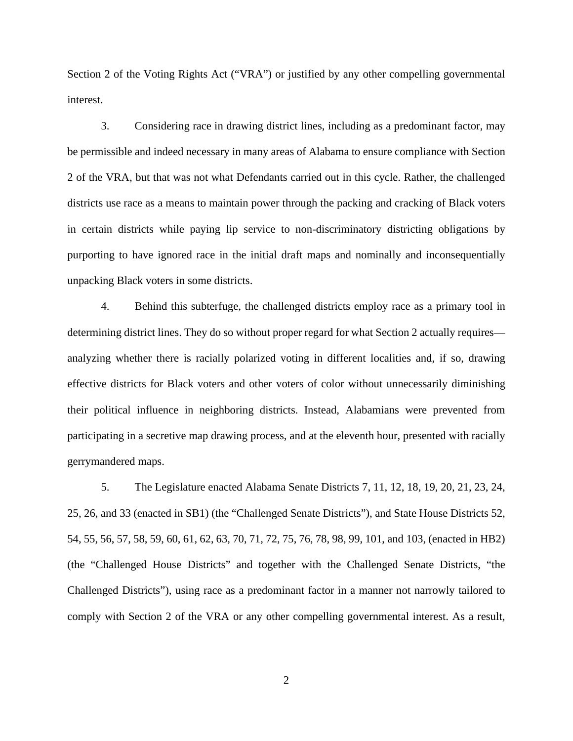Section 2 of the Voting Rights Act ("VRA") or justified by any other compelling governmental interest.

3. Considering race in drawing district lines, including as a predominant factor, may be permissible and indeed necessary in many areas of Alabama to ensure compliance with Section 2 of the VRA, but that was not what Defendants carried out in this cycle. Rather, the challenged districts use race as a means to maintain power through the packing and cracking of Black voters in certain districts while paying lip service to non-discriminatory districting obligations by purporting to have ignored race in the initial draft maps and nominally and inconsequentially unpacking Black voters in some districts.

4. Behind this subterfuge, the challenged districts employ race as a primary tool in determining district lines. They do so without proper regard for what Section 2 actually requires analyzing whether there is racially polarized voting in different localities and, if so, drawing effective districts for Black voters and other voters of color without unnecessarily diminishing their political influence in neighboring districts. Instead, Alabamians were prevented from participating in a secretive map drawing process, and at the eleventh hour, presented with racially gerrymandered maps.

5. The Legislature enacted Alabama Senate Districts 7, 11, 12, 18, 19, 20, 21, 23, 24, 25, 26, and 33 (enacted in SB1) (the "Challenged Senate Districts"), and State House Districts 52, 54, 55, 56, 57, 58, 59, 60, 61, 62, 63, 70, 71, 72, 75, 76, 78, 98, 99, 101, and 103, (enacted in HB2) (the "Challenged House Districts" and together with the Challenged Senate Districts, "the Challenged Districts"), using race as a predominant factor in a manner not narrowly tailored to comply with Section 2 of the VRA or any other compelling governmental interest. As a result,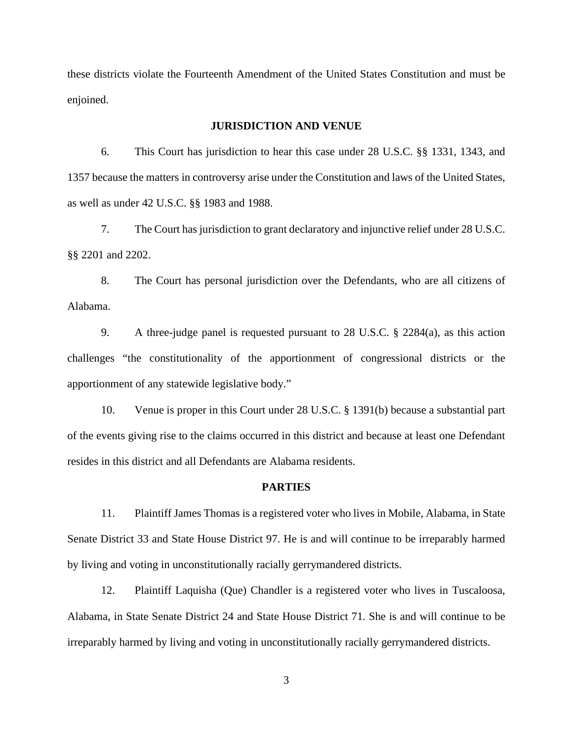these districts violate the Fourteenth Amendment of the United States Constitution and must be enjoined.

## **JURISDICTION AND VENUE**

6. This Court has jurisdiction to hear this case under 28 U.S.C. §§ 1331, 1343, and 1357 because the matters in controversy arise under the Constitution and laws of the United States, as well as under 42 U.S.C. §§ 1983 and 1988.

7. The Court has jurisdiction to grant declaratory and injunctive relief under 28 U.S.C. §§ 2201 and 2202.

8. The Court has personal jurisdiction over the Defendants, who are all citizens of Alabama.

9. A three-judge panel is requested pursuant to 28 U.S.C. § 2284(a), as this action challenges "the constitutionality of the apportionment of congressional districts or the apportionment of any statewide legislative body."

10. Venue is proper in this Court under 28 U.S.C. § 1391(b) because a substantial part of the events giving rise to the claims occurred in this district and because at least one Defendant resides in this district and all Defendants are Alabama residents.

## **PARTIES**

11. Plaintiff James Thomas is a registered voter who lives in Mobile, Alabama, in State Senate District 33 and State House District 97. He is and will continue to be irreparably harmed by living and voting in unconstitutionally racially gerrymandered districts.

12. Plaintiff Laquisha (Que) Chandler is a registered voter who lives in Tuscaloosa, Alabama, in State Senate District 24 and State House District 71. She is and will continue to be irreparably harmed by living and voting in unconstitutionally racially gerrymandered districts.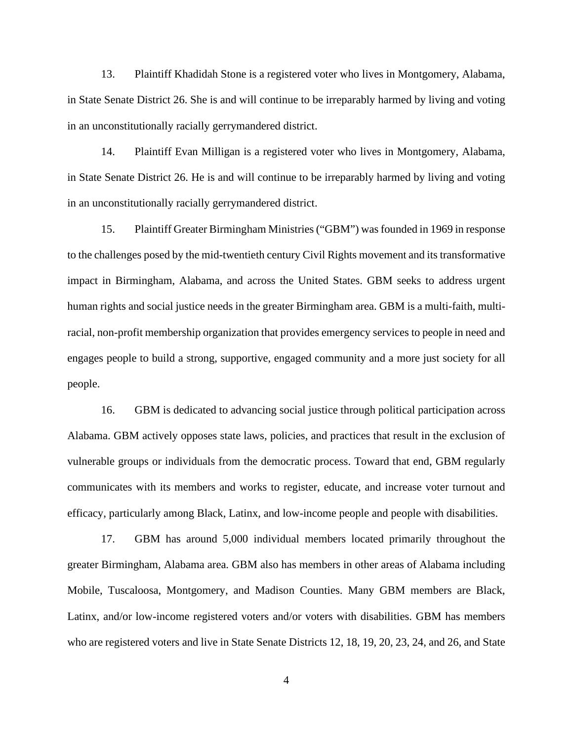13. Plaintiff Khadidah Stone is a registered voter who lives in Montgomery, Alabama, in State Senate District 26. She is and will continue to be irreparably harmed by living and voting in an unconstitutionally racially gerrymandered district.

14. Plaintiff Evan Milligan is a registered voter who lives in Montgomery, Alabama, in State Senate District 26. He is and will continue to be irreparably harmed by living and voting in an unconstitutionally racially gerrymandered district.

15. Plaintiff Greater Birmingham Ministries ("GBM") was founded in 1969 in response to the challenges posed by the mid-twentieth century Civil Rights movement and its transformative impact in Birmingham, Alabama, and across the United States. GBM seeks to address urgent human rights and social justice needs in the greater Birmingham area. GBM is a multi-faith, multiracial, non-profit membership organization that provides emergency services to people in need and engages people to build a strong, supportive, engaged community and a more just society for all people.

16. GBM is dedicated to advancing social justice through political participation across Alabama. GBM actively opposes state laws, policies, and practices that result in the exclusion of vulnerable groups or individuals from the democratic process. Toward that end, GBM regularly communicates with its members and works to register, educate, and increase voter turnout and efficacy, particularly among Black, Latinx, and low-income people and people with disabilities.

17. GBM has around 5,000 individual members located primarily throughout the greater Birmingham, Alabama area. GBM also has members in other areas of Alabama including Mobile, Tuscaloosa, Montgomery, and Madison Counties. Many GBM members are Black, Latinx, and/or low-income registered voters and/or voters with disabilities. GBM has members who are registered voters and live in State Senate Districts 12, 18, 19, 20, 23, 24, and 26, and State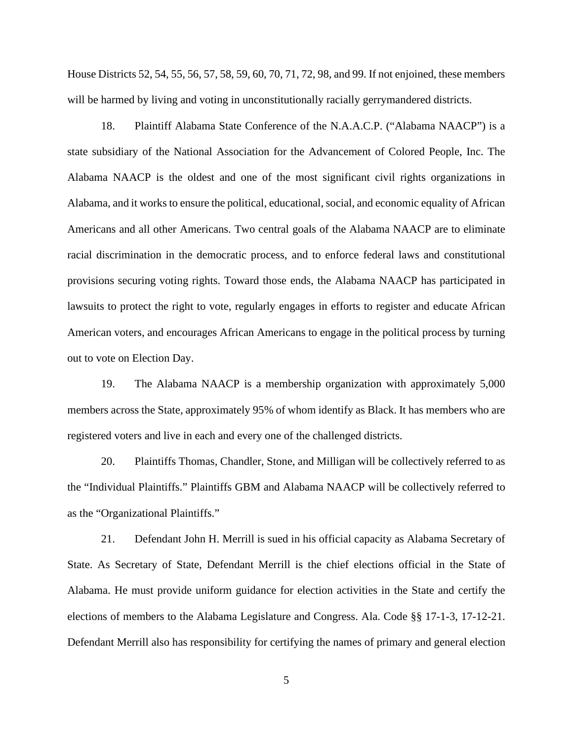House Districts 52, 54, 55, 56, 57, 58, 59, 60, 70, 71, 72, 98, and 99. If not enjoined, these members will be harmed by living and voting in unconstitutionally racially gerrymandered districts.

18. Plaintiff Alabama State Conference of the N.A.A.C.P. ("Alabama NAACP") is a state subsidiary of the National Association for the Advancement of Colored People, Inc. The Alabama NAACP is the oldest and one of the most significant civil rights organizations in Alabama, and it works to ensure the political, educational, social, and economic equality of African Americans and all other Americans. Two central goals of the Alabama NAACP are to eliminate racial discrimination in the democratic process, and to enforce federal laws and constitutional provisions securing voting rights. Toward those ends, the Alabama NAACP has participated in lawsuits to protect the right to vote, regularly engages in efforts to register and educate African American voters, and encourages African Americans to engage in the political process by turning out to vote on Election Day.

19. The Alabama NAACP is a membership organization with approximately 5,000 members across the State, approximately 95% of whom identify as Black. It has members who are registered voters and live in each and every one of the challenged districts.

20. Plaintiffs Thomas, Chandler, Stone, and Milligan will be collectively referred to as the "Individual Plaintiffs." Plaintiffs GBM and Alabama NAACP will be collectively referred to as the "Organizational Plaintiffs."

21. Defendant John H. Merrill is sued in his official capacity as Alabama Secretary of State. As Secretary of State, Defendant Merrill is the chief elections official in the State of Alabama. He must provide uniform guidance for election activities in the State and certify the elections of members to the Alabama Legislature and Congress. Ala. Code §§ 17-1-3, 17-12-21. Defendant Merrill also has responsibility for certifying the names of primary and general election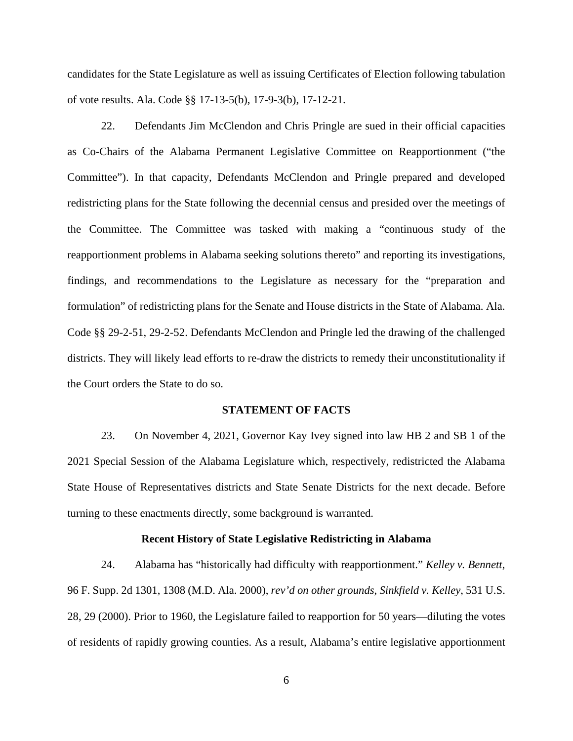candidates for the State Legislature as well as issuing Certificates of Election following tabulation of vote results. Ala. Code §§ 17-13-5(b), 17-9-3(b), 17-12-21.

22. Defendants Jim McClendon and Chris Pringle are sued in their official capacities as Co-Chairs of the Alabama Permanent Legislative Committee on Reapportionment ("the Committee"). In that capacity, Defendants McClendon and Pringle prepared and developed redistricting plans for the State following the decennial census and presided over the meetings of the Committee. The Committee was tasked with making a "continuous study of the reapportionment problems in Alabama seeking solutions thereto" and reporting its investigations, findings, and recommendations to the Legislature as necessary for the "preparation and formulation" of redistricting plans for the Senate and House districts in the State of Alabama. Ala. Code §§ 29-2-51, 29-2-52. Defendants McClendon and Pringle led the drawing of the challenged districts. They will likely lead efforts to re-draw the districts to remedy their unconstitutionality if the Court orders the State to do so.

### **STATEMENT OF FACTS**

23. On November 4, 2021, Governor Kay Ivey signed into law HB 2 and SB 1 of the 2021 Special Session of the Alabama Legislature which, respectively, redistricted the Alabama State House of Representatives districts and State Senate Districts for the next decade. Before turning to these enactments directly, some background is warranted.

#### **Recent History of State Legislative Redistricting in Alabama**

24. Alabama has "historically had difficulty with reapportionment." *Kelley v. Bennett*, 96 F. Supp. 2d 1301, 1308 (M.D. Ala. 2000), *rev'd on other grounds*, *Sinkfield v. Kelley*, 531 U.S. 28, 29 (2000). Prior to 1960, the Legislature failed to reapportion for 50 years—diluting the votes of residents of rapidly growing counties. As a result, Alabama's entire legislative apportionment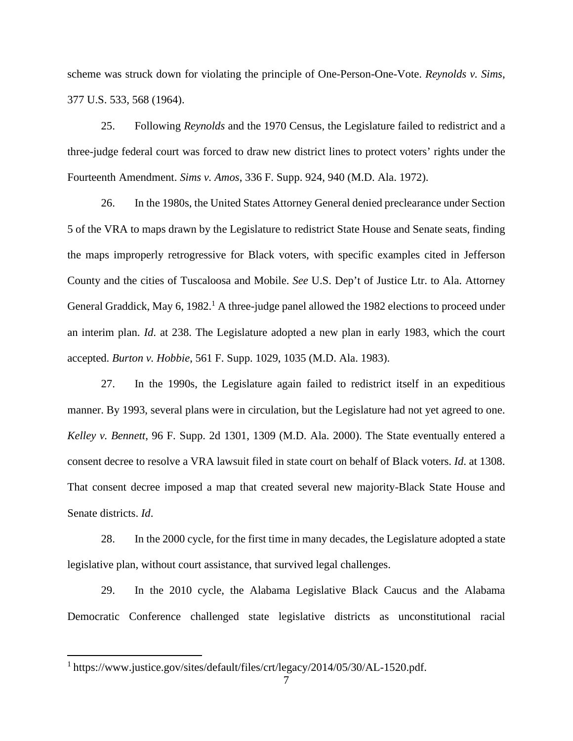scheme was struck down for violating the principle of One-Person-One-Vote. *Reynolds v. Sims*, 377 U.S. 533, 568 (1964).

25. Following *Reynolds* and the 1970 Census, the Legislature failed to redistrict and a three-judge federal court was forced to draw new district lines to protect voters' rights under the Fourteenth Amendment. *Sims v. Amos*, 336 F. Supp. 924, 940 (M.D. Ala. 1972).

26. In the 1980s, the United States Attorney General denied preclearance under Section 5 of the VRA to maps drawn by the Legislature to redistrict State House and Senate seats, finding the maps improperly retrogressive for Black voters, with specific examples cited in Jefferson County and the cities of Tuscaloosa and Mobile. *See* U.S. Dep't of Justice Ltr. to Ala. Attorney General Graddick, May 6, 1982.<sup>1</sup> A three-judge panel allowed the 1982 elections to proceed under an interim plan. *Id*. at 238. The Legislature adopted a new plan in early 1983, which the court accepted. *Burton v. Hobbie*, 561 F. Supp. 1029, 1035 (M.D. Ala. 1983).

27. In the 1990s, the Legislature again failed to redistrict itself in an expeditious manner. By 1993, several plans were in circulation, but the Legislature had not yet agreed to one. *Kelley v. Bennett*, 96 F. Supp. 2d 1301, 1309 (M.D. Ala. 2000). The State eventually entered a consent decree to resolve a VRA lawsuit filed in state court on behalf of Black voters. *Id*. at 1308. That consent decree imposed a map that created several new majority-Black State House and Senate districts. *Id*.

28. In the 2000 cycle, for the first time in many decades, the Legislature adopted a state legislative plan, without court assistance, that survived legal challenges.

29. In the 2010 cycle, the Alabama Legislative Black Caucus and the Alabama Democratic Conference challenged state legislative districts as unconstitutional racial

<sup>&</sup>lt;sup>1</sup> https://www.justice.gov/sites/default/files/crt/legacy/2014/05/30/AL-1520.pdf.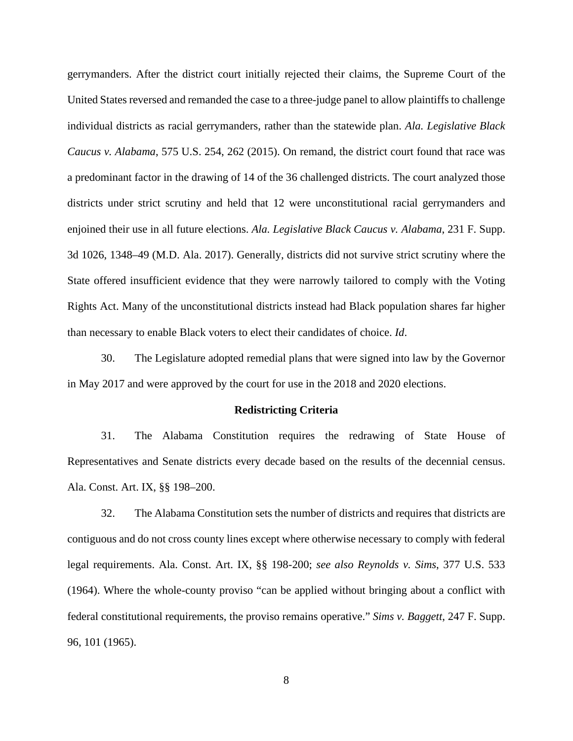gerrymanders. After the district court initially rejected their claims, the Supreme Court of the United States reversed and remanded the case to a three-judge panel to allow plaintiffs to challenge individual districts as racial gerrymanders, rather than the statewide plan. *Ala. Legislative Black Caucus v. Alabama*, 575 U.S. 254, 262 (2015). On remand, the district court found that race was a predominant factor in the drawing of 14 of the 36 challenged districts. The court analyzed those districts under strict scrutiny and held that 12 were unconstitutional racial gerrymanders and enjoined their use in all future elections. *Ala. Legislative Black Caucus v. Alabama*, 231 F. Supp. 3d 1026, 1348–49 (M.D. Ala. 2017). Generally, districts did not survive strict scrutiny where the State offered insufficient evidence that they were narrowly tailored to comply with the Voting Rights Act. Many of the unconstitutional districts instead had Black population shares far higher than necessary to enable Black voters to elect their candidates of choice. *Id*.

30. The Legislature adopted remedial plans that were signed into law by the Governor in May 2017 and were approved by the court for use in the 2018 and 2020 elections.

#### **Redistricting Criteria**

31. The Alabama Constitution requires the redrawing of State House of Representatives and Senate districts every decade based on the results of the decennial census. Ala. Const. Art. IX, §§ 198–200.

32. The Alabama Constitution sets the number of districts and requires that districts are contiguous and do not cross county lines except where otherwise necessary to comply with federal legal requirements. Ala. Const. Art. IX, §§ 198-200; *see also Reynolds v. Sims*, 377 U.S. 533 (1964). Where the whole-county proviso "can be applied without bringing about a conflict with federal constitutional requirements, the proviso remains operative." *Sims v. Baggett*, 247 F. Supp. 96, 101 (1965).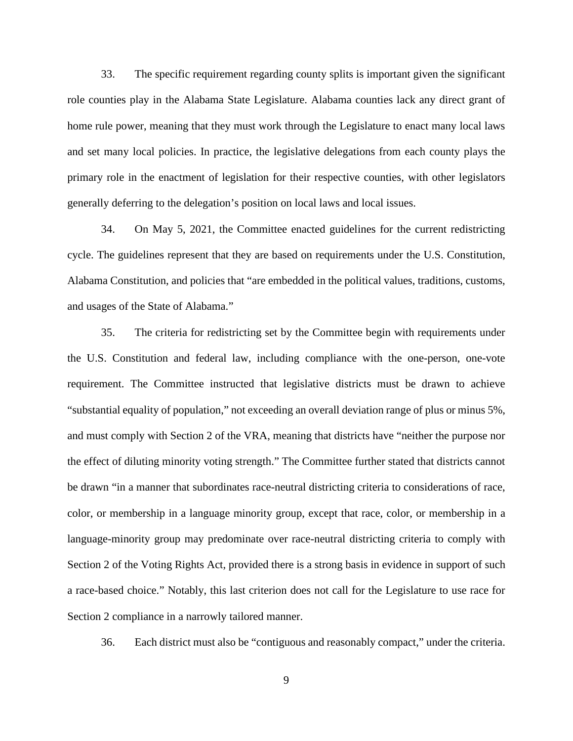33. The specific requirement regarding county splits is important given the significant role counties play in the Alabama State Legislature. Alabama counties lack any direct grant of home rule power, meaning that they must work through the Legislature to enact many local laws and set many local policies. In practice, the legislative delegations from each county plays the primary role in the enactment of legislation for their respective counties, with other legislators generally deferring to the delegation's position on local laws and local issues.

34. On May 5, 2021, the Committee enacted guidelines for the current redistricting cycle. The guidelines represent that they are based on requirements under the U.S. Constitution, Alabama Constitution, and policies that "are embedded in the political values, traditions, customs, and usages of the State of Alabama."

35. The criteria for redistricting set by the Committee begin with requirements under the U.S. Constitution and federal law, including compliance with the one-person, one-vote requirement. The Committee instructed that legislative districts must be drawn to achieve "substantial equality of population," not exceeding an overall deviation range of plus or minus 5%, and must comply with Section 2 of the VRA, meaning that districts have "neither the purpose nor the effect of diluting minority voting strength." The Committee further stated that districts cannot be drawn "in a manner that subordinates race-neutral districting criteria to considerations of race, color, or membership in a language minority group, except that race, color, or membership in a language-minority group may predominate over race-neutral districting criteria to comply with Section 2 of the Voting Rights Act, provided there is a strong basis in evidence in support of such a race-based choice." Notably, this last criterion does not call for the Legislature to use race for Section 2 compliance in a narrowly tailored manner.

36. Each district must also be "contiguous and reasonably compact," under the criteria.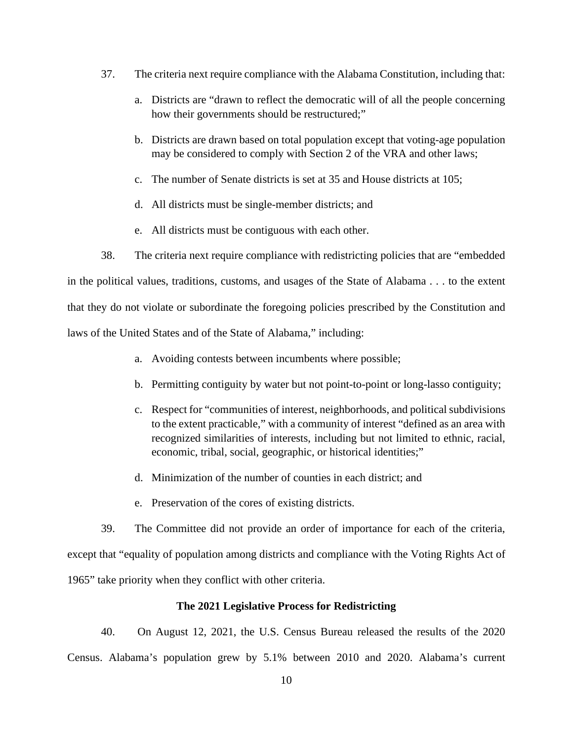- 37. The criteria next require compliance with the Alabama Constitution, including that:
	- a. Districts are "drawn to reflect the democratic will of all the people concerning how their governments should be restructured;"
	- b. Districts are drawn based on total population except that voting-age population may be considered to comply with Section 2 of the VRA and other laws;
	- c. The number of Senate districts is set at 35 and House districts at 105;
	- d. All districts must be single-member districts; and
	- e. All districts must be contiguous with each other.

38. The criteria next require compliance with redistricting policies that are "embedded in the political values, traditions, customs, and usages of the State of Alabama . . . to the extent that they do not violate or subordinate the foregoing policies prescribed by the Constitution and laws of the United States and of the State of Alabama," including:

- a. Avoiding contests between incumbents where possible;
- b. Permitting contiguity by water but not point-to-point or long-lasso contiguity;
- c. Respect for "communities of interest, neighborhoods, and political subdivisions to the extent practicable," with a community of interest "defined as an area with recognized similarities of interests, including but not limited to ethnic, racial, economic, tribal, social, geographic, or historical identities;"
- d. Minimization of the number of counties in each district; and
- e. Preservation of the cores of existing districts.

39. The Committee did not provide an order of importance for each of the criteria, except that "equality of population among districts and compliance with the Voting Rights Act of 1965" take priority when they conflict with other criteria.

## **The 2021 Legislative Process for Redistricting**

40. On August 12, 2021, the U.S. Census Bureau released the results of the 2020 Census. Alabama's population grew by 5.1% between 2010 and 2020. Alabama's current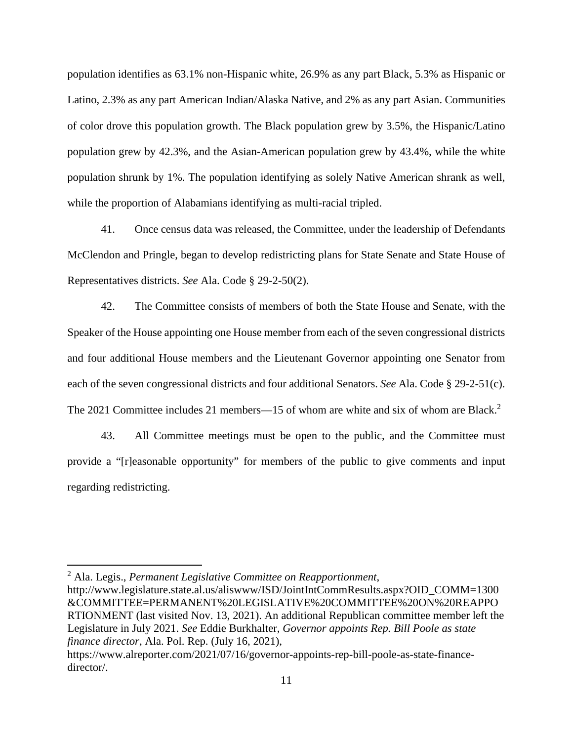population identifies as 63.1% non-Hispanic white, 26.9% as any part Black, 5.3% as Hispanic or Latino, 2.3% as any part American Indian/Alaska Native, and 2% as any part Asian. Communities of color drove this population growth. The Black population grew by 3.5%, the Hispanic/Latino population grew by 42.3%, and the Asian-American population grew by 43.4%, while the white population shrunk by 1%. The population identifying as solely Native American shrank as well, while the proportion of Alabamians identifying as multi-racial tripled.

41. Once census data was released, the Committee, under the leadership of Defendants McClendon and Pringle, began to develop redistricting plans for State Senate and State House of Representatives districts. *See* Ala. Code § 29-2-50(2).

42. The Committee consists of members of both the State House and Senate, with the Speaker of the House appointing one House member from each of the seven congressional districts and four additional House members and the Lieutenant Governor appointing one Senator from each of the seven congressional districts and four additional Senators. *See* Ala. Code § 29-2-51(c). The 2021 Committee includes 21 members—15 of whom are white and six of whom are Black.<sup>2</sup>

43. All Committee meetings must be open to the public, and the Committee must provide a "[r]easonable opportunity" for members of the public to give comments and input regarding redistricting.

<sup>2</sup> Ala. Legis., *Permanent Legislative Committee on Reapportionment*,

http://www.legislature.state.al.us/aliswww/ISD/JointIntCommResults.aspx?OID\_COMM=1300 &COMMITTEE=PERMANENT%20LEGISLATIVE%20COMMITTEE%20ON%20REAPPO RTIONMENT (last visited Nov. 13, 2021). An additional Republican committee member left the Legislature in July 2021. *See* Eddie Burkhalter, *Governor appoints Rep. Bill Poole as state finance director*, Ala. Pol. Rep. (July 16, 2021),

https://www.alreporter.com/2021/07/16/governor-appoints-rep-bill-poole-as-state-financedirector/.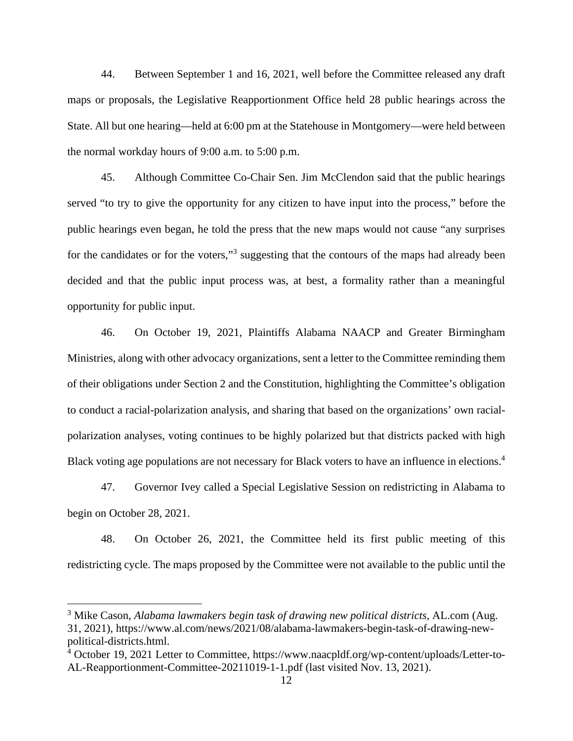44. Between September 1 and 16, 2021, well before the Committee released any draft maps or proposals, the Legislative Reapportionment Office held 28 public hearings across the State. All but one hearing—held at 6:00 pm at the Statehouse in Montgomery—were held between the normal workday hours of 9:00 a.m. to 5:00 p.m.

45. Although Committee Co-Chair Sen. Jim McClendon said that the public hearings served "to try to give the opportunity for any citizen to have input into the process," before the public hearings even began, he told the press that the new maps would not cause "any surprises for the candidates or for the voters,"<sup>3</sup> suggesting that the contours of the maps had already been decided and that the public input process was, at best, a formality rather than a meaningful opportunity for public input.

46. On October 19, 2021, Plaintiffs Alabama NAACP and Greater Birmingham Ministries, along with other advocacy organizations, sent a letter to the Committee reminding them of their obligations under Section 2 and the Constitution, highlighting the Committee's obligation to conduct a racial-polarization analysis, and sharing that based on the organizations' own racialpolarization analyses, voting continues to be highly polarized but that districts packed with high Black voting age populations are not necessary for Black voters to have an influence in elections.<sup>4</sup>

47. Governor Ivey called a Special Legislative Session on redistricting in Alabama to begin on October 28, 2021.

48. On October 26, 2021, the Committee held its first public meeting of this redistricting cycle. The maps proposed by the Committee were not available to the public until the

<sup>3</sup> Mike Cason, *Alabama lawmakers begin task of drawing new political districts*, AL.com (Aug. 31, 2021), https://www.al.com/news/2021/08/alabama-lawmakers-begin-task-of-drawing-newpolitical-districts.html.

<sup>&</sup>lt;sup>4</sup> October 19, 2021 Letter to Committee, https://www.naacpldf.org/wp-content/uploads/Letter-to-AL-Reapportionment-Committee-20211019-1-1.pdf (last visited Nov. 13, 2021).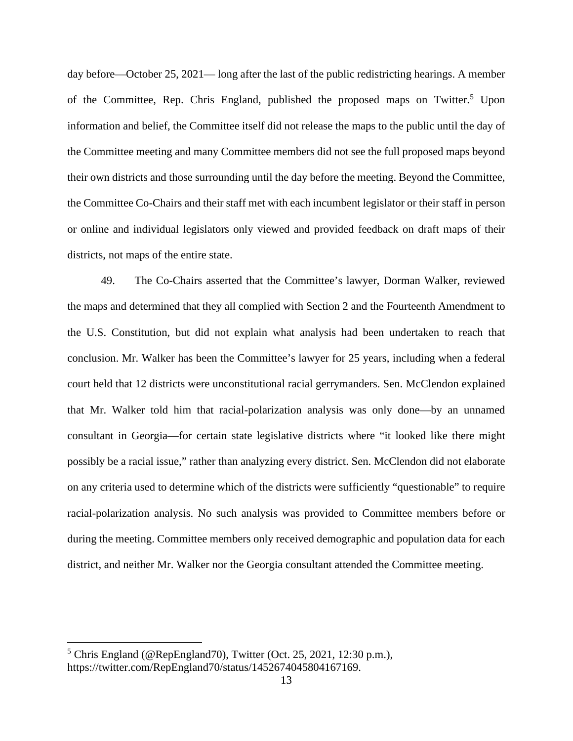day before—October 25, 2021— long after the last of the public redistricting hearings. A member of the Committee, Rep. Chris England, published the proposed maps on Twitter.<sup>5</sup> Upon information and belief, the Committee itself did not release the maps to the public until the day of the Committee meeting and many Committee members did not see the full proposed maps beyond their own districts and those surrounding until the day before the meeting. Beyond the Committee, the Committee Co-Chairs and their staff met with each incumbent legislator or their staff in person or online and individual legislators only viewed and provided feedback on draft maps of their districts, not maps of the entire state.

49. The Co-Chairs asserted that the Committee's lawyer, Dorman Walker, reviewed the maps and determined that they all complied with Section 2 and the Fourteenth Amendment to the U.S. Constitution, but did not explain what analysis had been undertaken to reach that conclusion. Mr. Walker has been the Committee's lawyer for 25 years, including when a federal court held that 12 districts were unconstitutional racial gerrymanders. Sen. McClendon explained that Mr. Walker told him that racial-polarization analysis was only done—by an unnamed consultant in Georgia—for certain state legislative districts where "it looked like there might possibly be a racial issue," rather than analyzing every district. Sen. McClendon did not elaborate on any criteria used to determine which of the districts were sufficiently "questionable" to require racial-polarization analysis. No such analysis was provided to Committee members before or during the meeting. Committee members only received demographic and population data for each district, and neither Mr. Walker nor the Georgia consultant attended the Committee meeting.

<sup>&</sup>lt;sup>5</sup> Chris England (@RepEngland70), Twitter (Oct. 25, 2021, 12:30 p.m.), https://twitter.com/RepEngland70/status/1452674045804167169.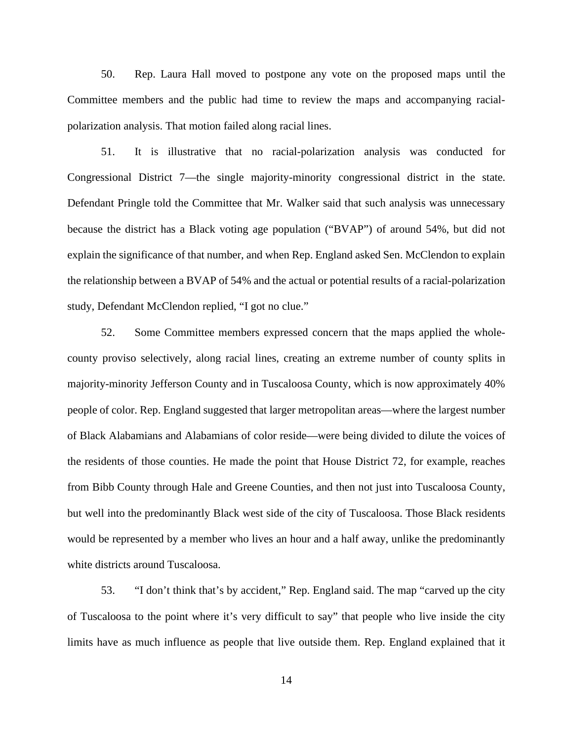50. Rep. Laura Hall moved to postpone any vote on the proposed maps until the Committee members and the public had time to review the maps and accompanying racialpolarization analysis. That motion failed along racial lines.

51. It is illustrative that no racial-polarization analysis was conducted for Congressional District 7—the single majority-minority congressional district in the state. Defendant Pringle told the Committee that Mr. Walker said that such analysis was unnecessary because the district has a Black voting age population ("BVAP") of around 54%, but did not explain the significance of that number, and when Rep. England asked Sen. McClendon to explain the relationship between a BVAP of 54% and the actual or potential results of a racial-polarization study, Defendant McClendon replied, "I got no clue."

52. Some Committee members expressed concern that the maps applied the wholecounty proviso selectively, along racial lines, creating an extreme number of county splits in majority-minority Jefferson County and in Tuscaloosa County, which is now approximately 40% people of color. Rep. England suggested that larger metropolitan areas—where the largest number of Black Alabamians and Alabamians of color reside—were being divided to dilute the voices of the residents of those counties. He made the point that House District 72, for example, reaches from Bibb County through Hale and Greene Counties, and then not just into Tuscaloosa County, but well into the predominantly Black west side of the city of Tuscaloosa. Those Black residents would be represented by a member who lives an hour and a half away, unlike the predominantly white districts around Tuscaloosa.

53. "I don't think that's by accident," Rep. England said. The map "carved up the city of Tuscaloosa to the point where it's very difficult to say" that people who live inside the city limits have as much influence as people that live outside them. Rep. England explained that it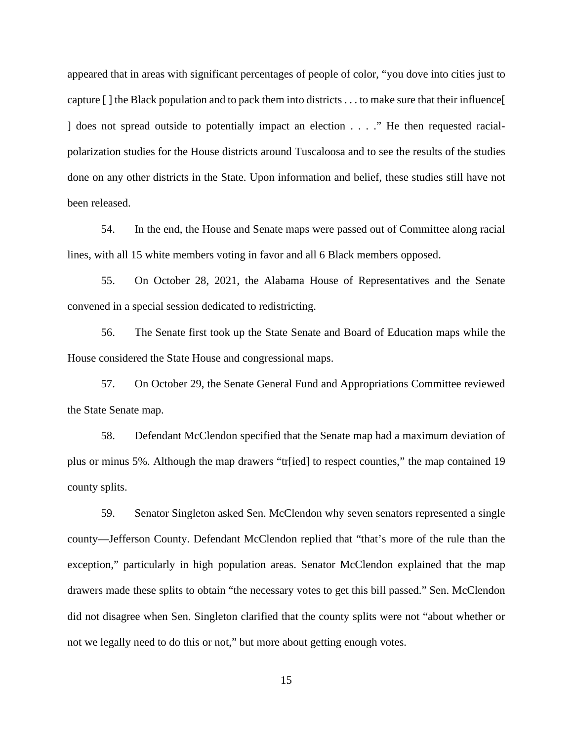appeared that in areas with significant percentages of people of color, "you dove into cities just to capture [ ] the Black population and to pack them into districts . . . to make sure that their influence[ ] does not spread outside to potentially impact an election . . . ." He then requested racialpolarization studies for the House districts around Tuscaloosa and to see the results of the studies done on any other districts in the State. Upon information and belief, these studies still have not been released.

54. In the end, the House and Senate maps were passed out of Committee along racial lines, with all 15 white members voting in favor and all 6 Black members opposed.

55. On October 28, 2021, the Alabama House of Representatives and the Senate convened in a special session dedicated to redistricting.

56. The Senate first took up the State Senate and Board of Education maps while the House considered the State House and congressional maps.

57. On October 29, the Senate General Fund and Appropriations Committee reviewed the State Senate map.

58. Defendant McClendon specified that the Senate map had a maximum deviation of plus or minus 5%. Although the map drawers "tr[ied] to respect counties," the map contained 19 county splits.

59. Senator Singleton asked Sen. McClendon why seven senators represented a single county—Jefferson County. Defendant McClendon replied that "that's more of the rule than the exception," particularly in high population areas. Senator McClendon explained that the map drawers made these splits to obtain "the necessary votes to get this bill passed." Sen. McClendon did not disagree when Sen. Singleton clarified that the county splits were not "about whether or not we legally need to do this or not," but more about getting enough votes.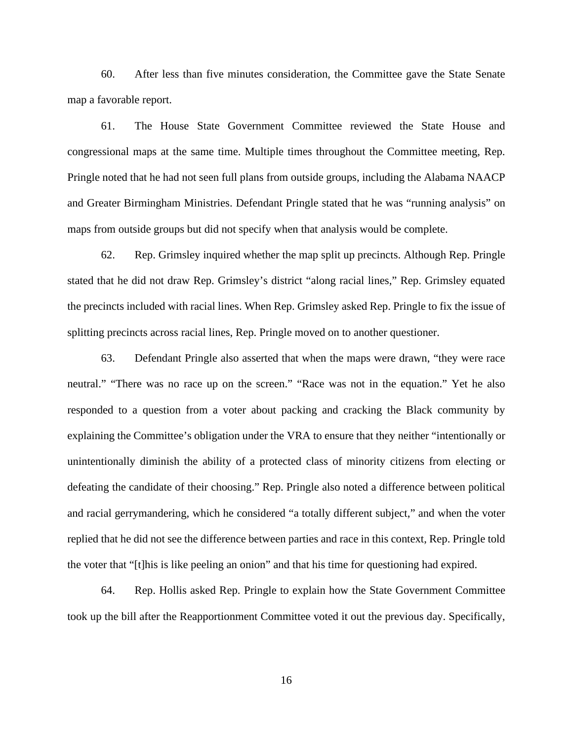60. After less than five minutes consideration, the Committee gave the State Senate map a favorable report.

61. The House State Government Committee reviewed the State House and congressional maps at the same time. Multiple times throughout the Committee meeting, Rep. Pringle noted that he had not seen full plans from outside groups, including the Alabama NAACP and Greater Birmingham Ministries. Defendant Pringle stated that he was "running analysis" on maps from outside groups but did not specify when that analysis would be complete.

62. Rep. Grimsley inquired whether the map split up precincts. Although Rep. Pringle stated that he did not draw Rep. Grimsley's district "along racial lines," Rep. Grimsley equated the precincts included with racial lines. When Rep. Grimsley asked Rep. Pringle to fix the issue of splitting precincts across racial lines, Rep. Pringle moved on to another questioner.

63. Defendant Pringle also asserted that when the maps were drawn, "they were race neutral." "There was no race up on the screen." "Race was not in the equation." Yet he also responded to a question from a voter about packing and cracking the Black community by explaining the Committee's obligation under the VRA to ensure that they neither "intentionally or unintentionally diminish the ability of a protected class of minority citizens from electing or defeating the candidate of their choosing." Rep. Pringle also noted a difference between political and racial gerrymandering, which he considered "a totally different subject," and when the voter replied that he did not see the difference between parties and race in this context, Rep. Pringle told the voter that "[t]his is like peeling an onion" and that his time for questioning had expired.

64. Rep. Hollis asked Rep. Pringle to explain how the State Government Committee took up the bill after the Reapportionment Committee voted it out the previous day. Specifically,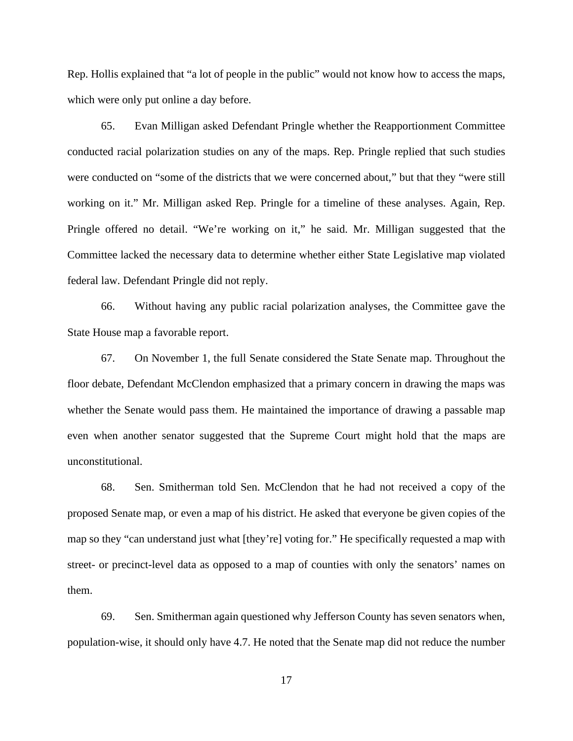Rep. Hollis explained that "a lot of people in the public" would not know how to access the maps, which were only put online a day before.

65. Evan Milligan asked Defendant Pringle whether the Reapportionment Committee conducted racial polarization studies on any of the maps. Rep. Pringle replied that such studies were conducted on "some of the districts that we were concerned about," but that they "were still working on it." Mr. Milligan asked Rep. Pringle for a timeline of these analyses. Again, Rep. Pringle offered no detail. "We're working on it," he said. Mr. Milligan suggested that the Committee lacked the necessary data to determine whether either State Legislative map violated federal law. Defendant Pringle did not reply.

66. Without having any public racial polarization analyses, the Committee gave the State House map a favorable report.

67. On November 1, the full Senate considered the State Senate map. Throughout the floor debate, Defendant McClendon emphasized that a primary concern in drawing the maps was whether the Senate would pass them. He maintained the importance of drawing a passable map even when another senator suggested that the Supreme Court might hold that the maps are unconstitutional.

68. Sen. Smitherman told Sen. McClendon that he had not received a copy of the proposed Senate map, or even a map of his district. He asked that everyone be given copies of the map so they "can understand just what [they're] voting for." He specifically requested a map with street- or precinct-level data as opposed to a map of counties with only the senators' names on them.

69. Sen. Smitherman again questioned why Jefferson County has seven senators when, population-wise, it should only have 4.7. He noted that the Senate map did not reduce the number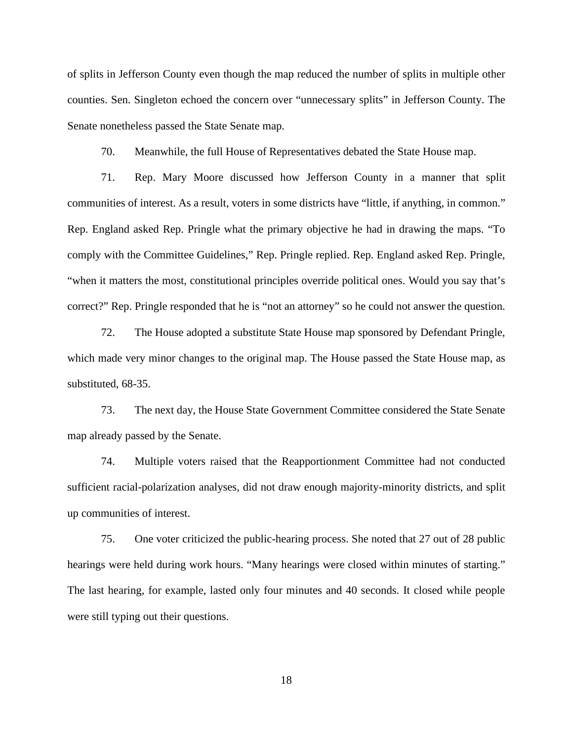of splits in Jefferson County even though the map reduced the number of splits in multiple other counties. Sen. Singleton echoed the concern over "unnecessary splits" in Jefferson County. The Senate nonetheless passed the State Senate map.

70. Meanwhile, the full House of Representatives debated the State House map.

71. Rep. Mary Moore discussed how Jefferson County in a manner that split communities of interest. As a result, voters in some districts have "little, if anything, in common." Rep. England asked Rep. Pringle what the primary objective he had in drawing the maps. "To comply with the Committee Guidelines," Rep. Pringle replied. Rep. England asked Rep. Pringle, "when it matters the most, constitutional principles override political ones. Would you say that's correct?" Rep. Pringle responded that he is "not an attorney" so he could not answer the question.

72. The House adopted a substitute State House map sponsored by Defendant Pringle, which made very minor changes to the original map. The House passed the State House map, as substituted, 68-35.

73. The next day, the House State Government Committee considered the State Senate map already passed by the Senate.

74. Multiple voters raised that the Reapportionment Committee had not conducted sufficient racial-polarization analyses, did not draw enough majority-minority districts, and split up communities of interest.

75. One voter criticized the public-hearing process. She noted that 27 out of 28 public hearings were held during work hours. "Many hearings were closed within minutes of starting." The last hearing, for example, lasted only four minutes and 40 seconds. It closed while people were still typing out their questions.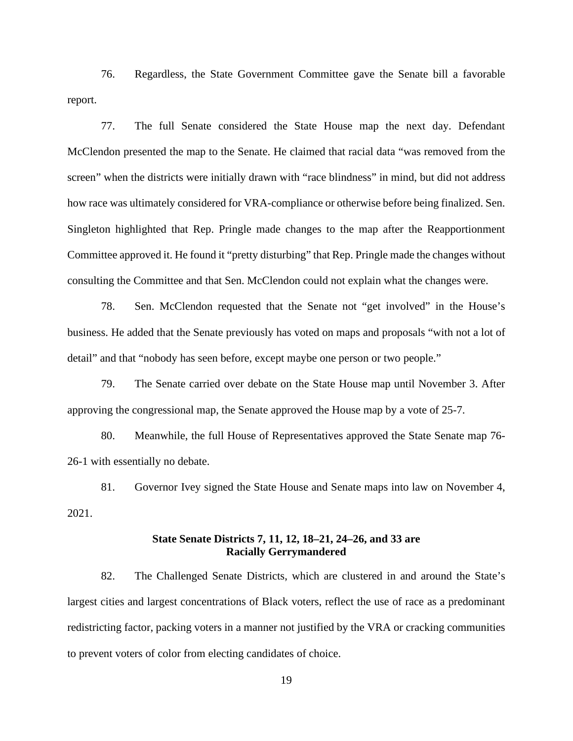76. Regardless, the State Government Committee gave the Senate bill a favorable report.

77. The full Senate considered the State House map the next day. Defendant McClendon presented the map to the Senate. He claimed that racial data "was removed from the screen" when the districts were initially drawn with "race blindness" in mind, but did not address how race was ultimately considered for VRA-compliance or otherwise before being finalized. Sen. Singleton highlighted that Rep. Pringle made changes to the map after the Reapportionment Committee approved it. He found it "pretty disturbing" that Rep. Pringle made the changes without consulting the Committee and that Sen. McClendon could not explain what the changes were.

78. Sen. McClendon requested that the Senate not "get involved" in the House's business. He added that the Senate previously has voted on maps and proposals "with not a lot of detail" and that "nobody has seen before, except maybe one person or two people."

79. The Senate carried over debate on the State House map until November 3. After approving the congressional map, the Senate approved the House map by a vote of 25-7.

80. Meanwhile, the full House of Representatives approved the State Senate map 76- 26-1 with essentially no debate.

81. Governor Ivey signed the State House and Senate maps into law on November 4, 2021.

## **State Senate Districts 7, 11, 12, 18–21, 24–26, and 33 are Racially Gerrymandered**

82. The Challenged Senate Districts, which are clustered in and around the State's largest cities and largest concentrations of Black voters, reflect the use of race as a predominant redistricting factor, packing voters in a manner not justified by the VRA or cracking communities to prevent voters of color from electing candidates of choice.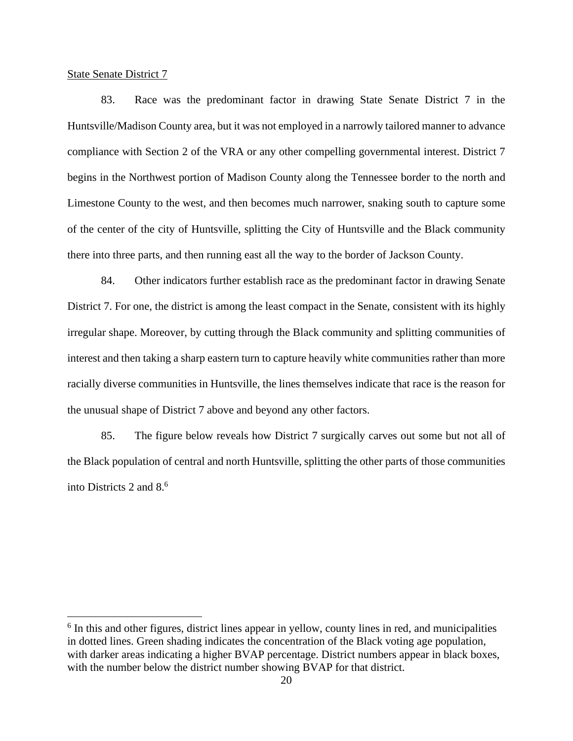State Senate District 7

83. Race was the predominant factor in drawing State Senate District 7 in the Huntsville/Madison County area, but it was not employed in a narrowly tailored manner to advance compliance with Section 2 of the VRA or any other compelling governmental interest. District 7 begins in the Northwest portion of Madison County along the Tennessee border to the north and Limestone County to the west, and then becomes much narrower, snaking south to capture some of the center of the city of Huntsville, splitting the City of Huntsville and the Black community there into three parts, and then running east all the way to the border of Jackson County.

84. Other indicators further establish race as the predominant factor in drawing Senate District 7. For one, the district is among the least compact in the Senate, consistent with its highly irregular shape. Moreover, by cutting through the Black community and splitting communities of interest and then taking a sharp eastern turn to capture heavily white communities rather than more racially diverse communities in Huntsville, the lines themselves indicate that race is the reason for the unusual shape of District 7 above and beyond any other factors.

85. The figure below reveals how District 7 surgically carves out some but not all of the Black population of central and north Huntsville, splitting the other parts of those communities into Districts 2 and  $8<sup>6</sup>$ 

<sup>&</sup>lt;sup>6</sup> In this and other figures, district lines appear in yellow, county lines in red, and municipalities in dotted lines. Green shading indicates the concentration of the Black voting age population, with darker areas indicating a higher BVAP percentage. District numbers appear in black boxes, with the number below the district number showing BVAP for that district.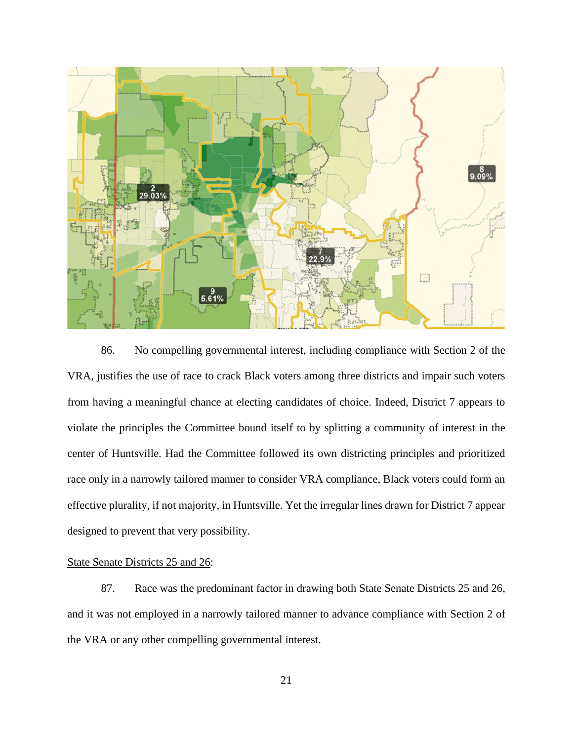

86. No compelling governmental interest, including compliance with Section 2 of the VRA, justifies the use of race to crack Black voters among three districts and impair such voters from having a meaningful chance at electing candidates of choice. Indeed, District 7 appears to violate the principles the Committee bound itself to by splitting a community of interest in the center of Huntsville. Had the Committee followed its own districting principles and prioritized race only in a narrowly tailored manner to consider VRA compliance, Black voters could form an effective plurality, if not majority, in Huntsville. Yet the irregular lines drawn for District 7 appear designed to prevent that very possibility.

## State Senate Districts 25 and 26:

87. Race was the predominant factor in drawing both State Senate Districts 25 and 26, and it was not employed in a narrowly tailored manner to advance compliance with Section 2 of the VRA or any other compelling governmental interest.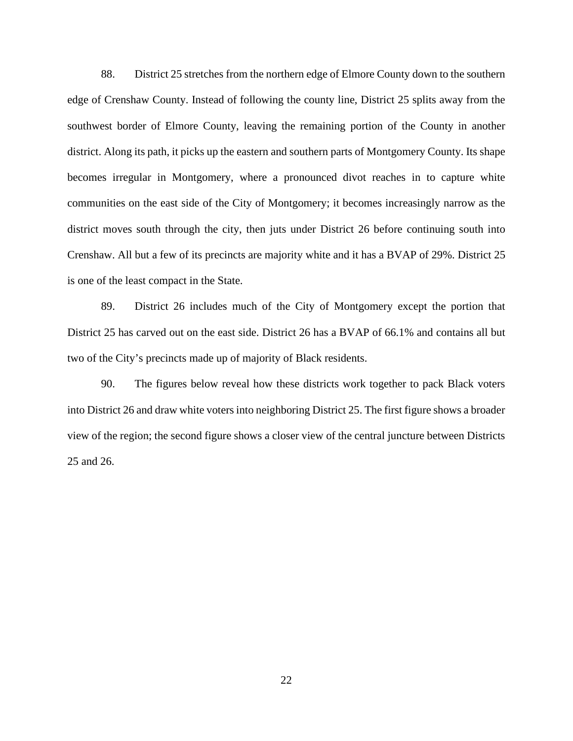88. District 25 stretches from the northern edge of Elmore County down to the southern edge of Crenshaw County. Instead of following the county line, District 25 splits away from the southwest border of Elmore County, leaving the remaining portion of the County in another district. Along its path, it picks up the eastern and southern parts of Montgomery County. Its shape becomes irregular in Montgomery, where a pronounced divot reaches in to capture white communities on the east side of the City of Montgomery; it becomes increasingly narrow as the district moves south through the city, then juts under District 26 before continuing south into Crenshaw. All but a few of its precincts are majority white and it has a BVAP of 29%. District 25 is one of the least compact in the State.

89. District 26 includes much of the City of Montgomery except the portion that District 25 has carved out on the east side. District 26 has a BVAP of 66.1% and contains all but two of the City's precincts made up of majority of Black residents.

90. The figures below reveal how these districts work together to pack Black voters into District 26 and draw white voters into neighboring District 25. The first figure shows a broader view of the region; the second figure shows a closer view of the central juncture between Districts 25 and 26.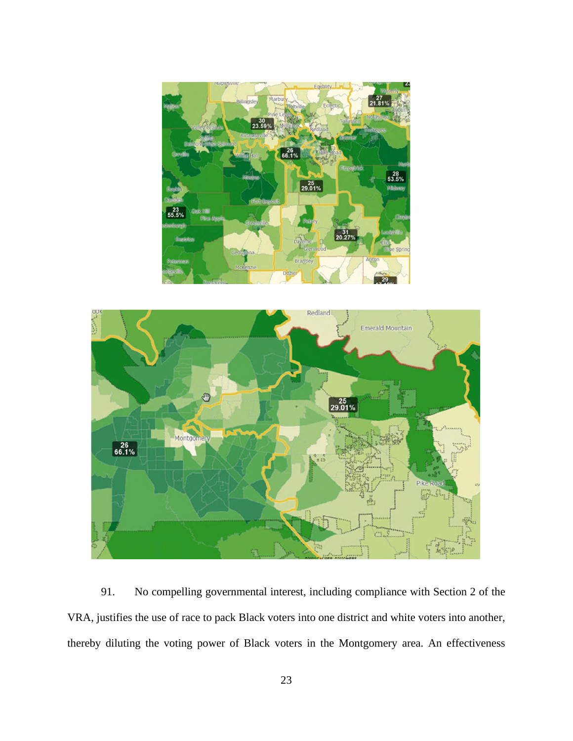



91. No compelling governmental interest, including compliance with Section 2 of the VRA, justifies the use of race to pack Black voters into one district and white voters into another, thereby diluting the voting power of Black voters in the Montgomery area. An effectiveness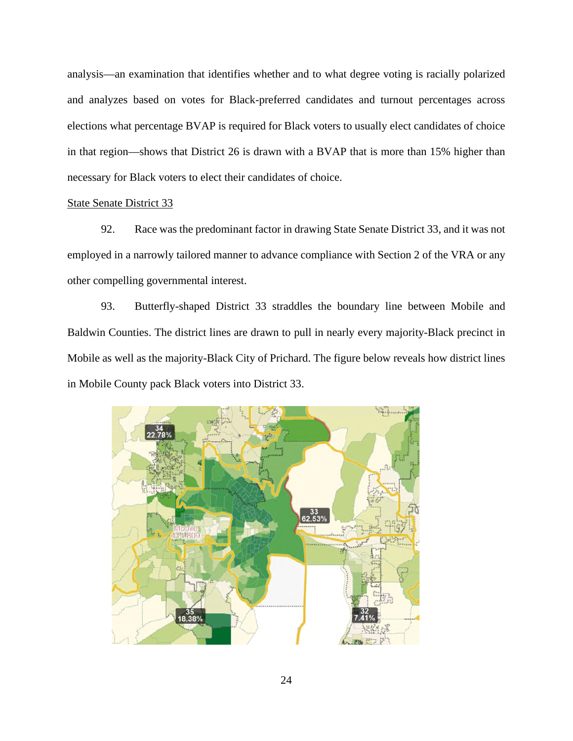analysis—an examination that identifies whether and to what degree voting is racially polarized and analyzes based on votes for Black-preferred candidates and turnout percentages across elections what percentage BVAP is required for Black voters to usually elect candidates of choice in that region—shows that District 26 is drawn with a BVAP that is more than 15% higher than necessary for Black voters to elect their candidates of choice.

### State Senate District 33

92. Race was the predominant factor in drawing State Senate District 33, and it was not employed in a narrowly tailored manner to advance compliance with Section 2 of the VRA or any other compelling governmental interest.

93. Butterfly-shaped District 33 straddles the boundary line between Mobile and Baldwin Counties. The district lines are drawn to pull in nearly every majority-Black precinct in Mobile as well as the majority-Black City of Prichard. The figure below reveals how district lines in Mobile County pack Black voters into District 33.

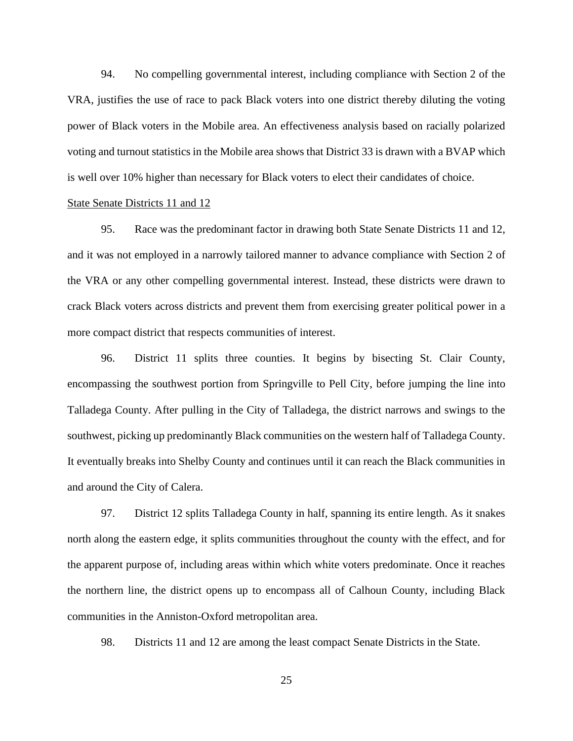94. No compelling governmental interest, including compliance with Section 2 of the VRA, justifies the use of race to pack Black voters into one district thereby diluting the voting power of Black voters in the Mobile area. An effectiveness analysis based on racially polarized voting and turnout statistics in the Mobile area shows that District 33 is drawn with a BVAP which is well over 10% higher than necessary for Black voters to elect their candidates of choice.

## State Senate Districts 11 and 12

95. Race was the predominant factor in drawing both State Senate Districts 11 and 12, and it was not employed in a narrowly tailored manner to advance compliance with Section 2 of the VRA or any other compelling governmental interest. Instead, these districts were drawn to crack Black voters across districts and prevent them from exercising greater political power in a more compact district that respects communities of interest.

96. District 11 splits three counties. It begins by bisecting St. Clair County, encompassing the southwest portion from Springville to Pell City, before jumping the line into Talladega County. After pulling in the City of Talladega, the district narrows and swings to the southwest, picking up predominantly Black communities on the western half of Talladega County. It eventually breaks into Shelby County and continues until it can reach the Black communities in and around the City of Calera.

97. District 12 splits Talladega County in half, spanning its entire length. As it snakes north along the eastern edge, it splits communities throughout the county with the effect, and for the apparent purpose of, including areas within which white voters predominate. Once it reaches the northern line, the district opens up to encompass all of Calhoun County, including Black communities in the Anniston-Oxford metropolitan area.

98. Districts 11 and 12 are among the least compact Senate Districts in the State.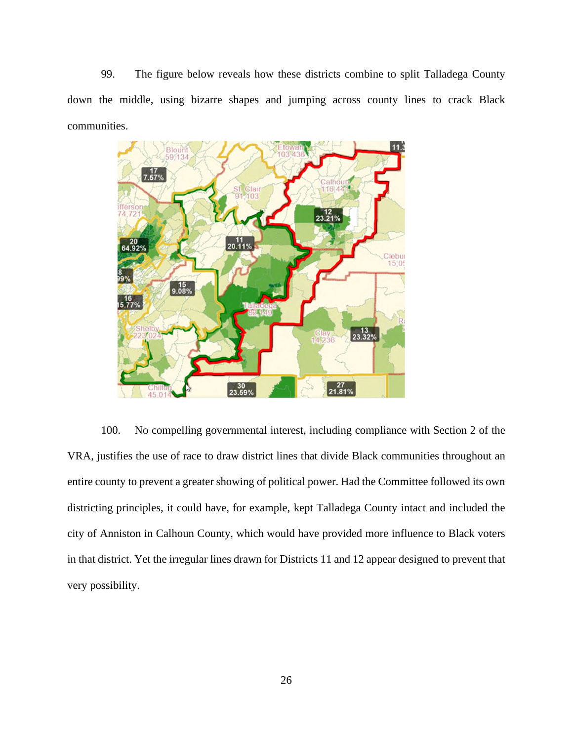99. The figure below reveals how these districts combine to split Talladega County down the middle, using bizarre shapes and jumping across county lines to crack Black communities.



100. No compelling governmental interest, including compliance with Section 2 of the VRA, justifies the use of race to draw district lines that divide Black communities throughout an entire county to prevent a greater showing of political power. Had the Committee followed its own districting principles, it could have, for example, kept Talladega County intact and included the city of Anniston in Calhoun County, which would have provided more influence to Black voters in that district. Yet the irregular lines drawn for Districts 11 and 12 appear designed to prevent that very possibility.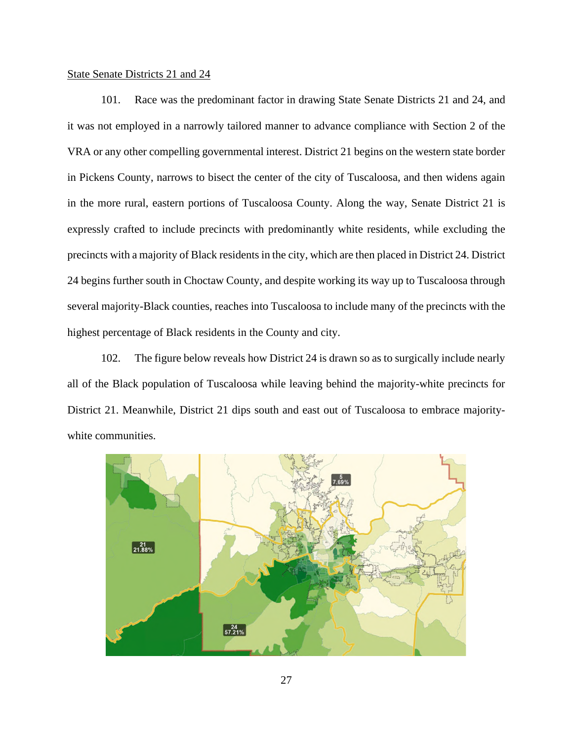## State Senate Districts 21 and 24

101. Race was the predominant factor in drawing State Senate Districts 21 and 24, and it was not employed in a narrowly tailored manner to advance compliance with Section 2 of the VRA or any other compelling governmental interest. District 21 begins on the western state border in Pickens County, narrows to bisect the center of the city of Tuscaloosa, and then widens again in the more rural, eastern portions of Tuscaloosa County. Along the way, Senate District 21 is expressly crafted to include precincts with predominantly white residents, while excluding the precincts with a majority of Black residents in the city, which are then placed in District 24. District 24 begins further south in Choctaw County, and despite working its way up to Tuscaloosa through several majority-Black counties, reaches into Tuscaloosa to include many of the precincts with the highest percentage of Black residents in the County and city.

102. The figure below reveals how District 24 is drawn so as to surgically include nearly all of the Black population of Tuscaloosa while leaving behind the majority-white precincts for District 21. Meanwhile, District 21 dips south and east out of Tuscaloosa to embrace majoritywhite communities.

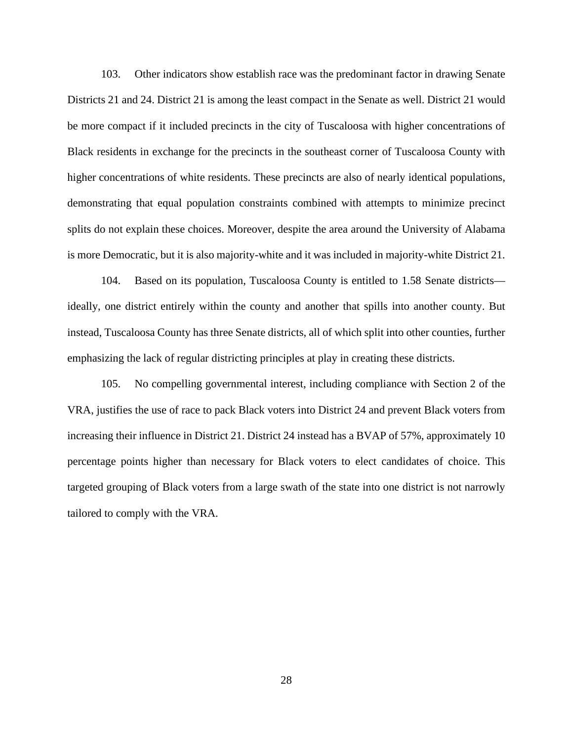103. Other indicators show establish race was the predominant factor in drawing Senate Districts 21 and 24. District 21 is among the least compact in the Senate as well. District 21 would be more compact if it included precincts in the city of Tuscaloosa with higher concentrations of Black residents in exchange for the precincts in the southeast corner of Tuscaloosa County with higher concentrations of white residents. These precincts are also of nearly identical populations, demonstrating that equal population constraints combined with attempts to minimize precinct splits do not explain these choices. Moreover, despite the area around the University of Alabama is more Democratic, but it is also majority-white and it was included in majority-white District 21.

104. Based on its population, Tuscaloosa County is entitled to 1.58 Senate districts ideally, one district entirely within the county and another that spills into another county. But instead, Tuscaloosa County has three Senate districts, all of which split into other counties, further emphasizing the lack of regular districting principles at play in creating these districts.

105. No compelling governmental interest, including compliance with Section 2 of the VRA, justifies the use of race to pack Black voters into District 24 and prevent Black voters from increasing their influence in District 21. District 24 instead has a BVAP of 57%, approximately 10 percentage points higher than necessary for Black voters to elect candidates of choice. This targeted grouping of Black voters from a large swath of the state into one district is not narrowly tailored to comply with the VRA.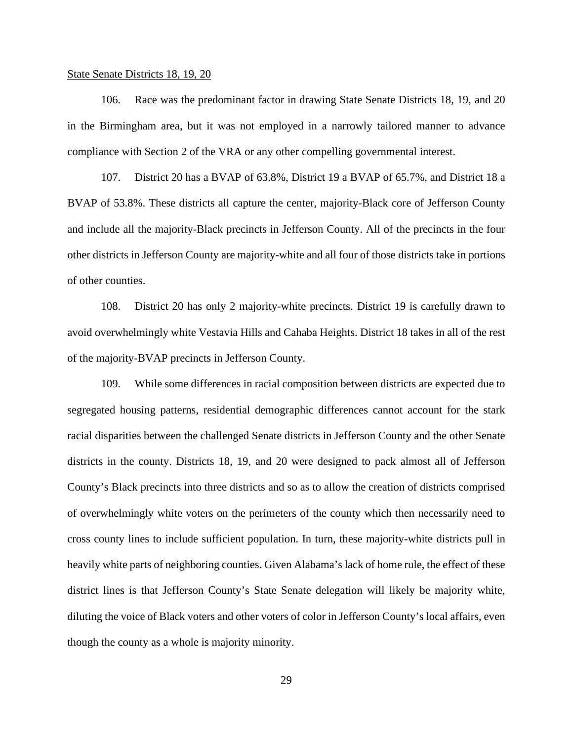#### State Senate Districts 18, 19, 20

106. Race was the predominant factor in drawing State Senate Districts 18, 19, and 20 in the Birmingham area, but it was not employed in a narrowly tailored manner to advance compliance with Section 2 of the VRA or any other compelling governmental interest.

107. District 20 has a BVAP of 63.8%, District 19 a BVAP of 65.7%, and District 18 a BVAP of 53.8%. These districts all capture the center, majority-Black core of Jefferson County and include all the majority-Black precincts in Jefferson County. All of the precincts in the four other districts in Jefferson County are majority-white and all four of those districts take in portions of other counties.

108. District 20 has only 2 majority-white precincts. District 19 is carefully drawn to avoid overwhelmingly white Vestavia Hills and Cahaba Heights. District 18 takes in all of the rest of the majority-BVAP precincts in Jefferson County.

109. While some differences in racial composition between districts are expected due to segregated housing patterns, residential demographic differences cannot account for the stark racial disparities between the challenged Senate districts in Jefferson County and the other Senate districts in the county. Districts 18, 19, and 20 were designed to pack almost all of Jefferson County's Black precincts into three districts and so as to allow the creation of districts comprised of overwhelmingly white voters on the perimeters of the county which then necessarily need to cross county lines to include sufficient population. In turn, these majority-white districts pull in heavily white parts of neighboring counties. Given Alabama's lack of home rule, the effect of these district lines is that Jefferson County's State Senate delegation will likely be majority white, diluting the voice of Black voters and other voters of color in Jefferson County's local affairs, even though the county as a whole is majority minority.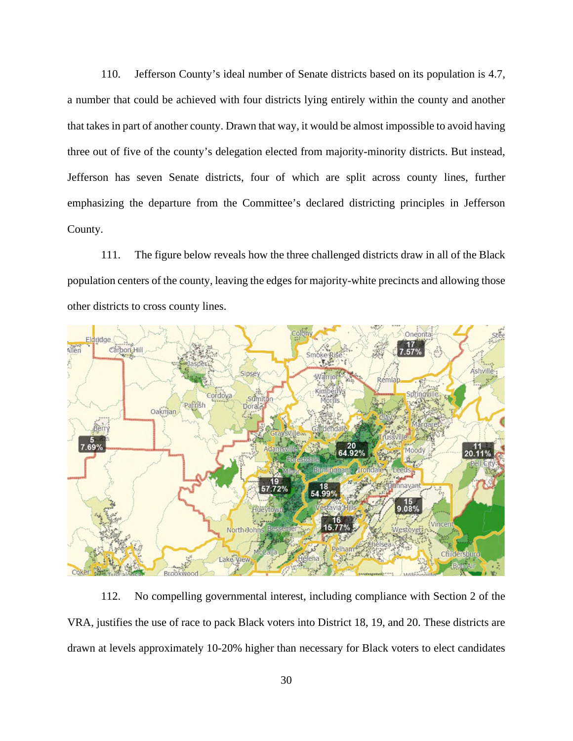110. Jefferson County's ideal number of Senate districts based on its population is 4.7, a number that could be achieved with four districts lying entirely within the county and another that takes in part of another county. Drawn that way, it would be almost impossible to avoid having three out of five of the county's delegation elected from majority-minority districts. But instead, Jefferson has seven Senate districts, four of which are split across county lines, further emphasizing the departure from the Committee's declared districting principles in Jefferson County.

111. The figure below reveals how the three challenged districts draw in all of the Black population centers of the county, leaving the edges for majority-white precincts and allowing those other districts to cross county lines.



112. No compelling governmental interest, including compliance with Section 2 of the VRA, justifies the use of race to pack Black voters into District 18, 19, and 20. These districts are drawn at levels approximately 10-20% higher than necessary for Black voters to elect candidates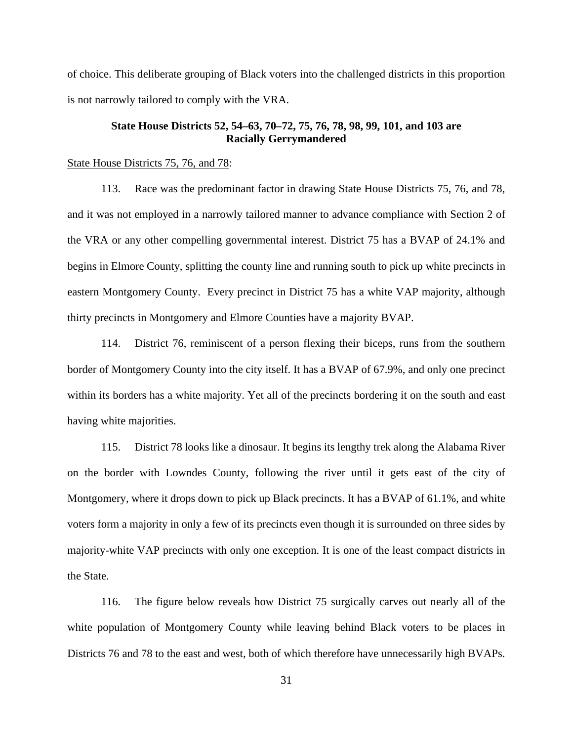of choice. This deliberate grouping of Black voters into the challenged districts in this proportion is not narrowly tailored to comply with the VRA.

## **State House Districts 52, 54–63, 70–72, 75, 76, 78, 98, 99, 101, and 103 are Racially Gerrymandered**

### State House Districts 75, 76, and 78:

113. Race was the predominant factor in drawing State House Districts 75, 76, and 78, and it was not employed in a narrowly tailored manner to advance compliance with Section 2 of the VRA or any other compelling governmental interest. District 75 has a BVAP of 24.1% and begins in Elmore County, splitting the county line and running south to pick up white precincts in eastern Montgomery County. Every precinct in District 75 has a white VAP majority, although thirty precincts in Montgomery and Elmore Counties have a majority BVAP.

114. District 76, reminiscent of a person flexing their biceps, runs from the southern border of Montgomery County into the city itself. It has a BVAP of 67.9%, and only one precinct within its borders has a white majority. Yet all of the precincts bordering it on the south and east having white majorities.

115. District 78 looks like a dinosaur. It begins its lengthy trek along the Alabama River on the border with Lowndes County, following the river until it gets east of the city of Montgomery, where it drops down to pick up Black precincts. It has a BVAP of 61.1%, and white voters form a majority in only a few of its precincts even though it is surrounded on three sides by majority-white VAP precincts with only one exception. It is one of the least compact districts in the State.

116. The figure below reveals how District 75 surgically carves out nearly all of the white population of Montgomery County while leaving behind Black voters to be places in Districts 76 and 78 to the east and west, both of which therefore have unnecessarily high BVAPs.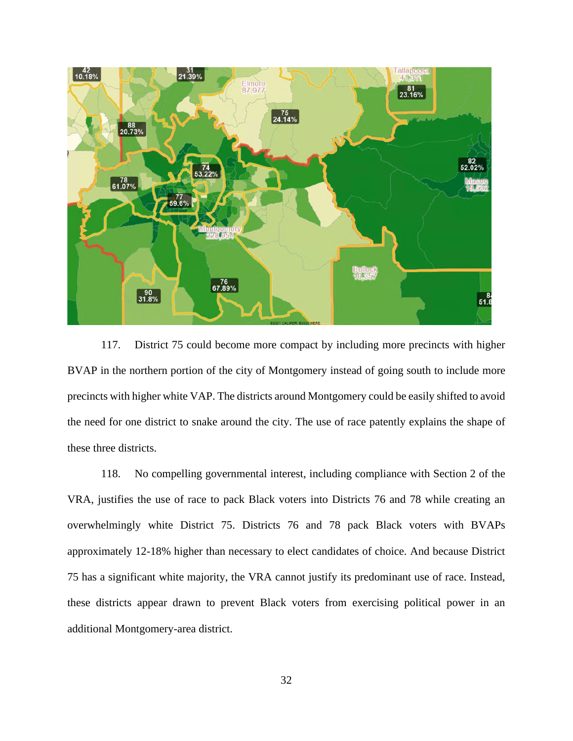

117. District 75 could become more compact by including more precincts with higher BVAP in the northern portion of the city of Montgomery instead of going south to include more precincts with higher white VAP. The districts around Montgomery could be easily shifted to avoid the need for one district to snake around the city. The use of race patently explains the shape of these three districts.

118. No compelling governmental interest, including compliance with Section 2 of the VRA, justifies the use of race to pack Black voters into Districts 76 and 78 while creating an overwhelmingly white District 75. Districts 76 and 78 pack Black voters with BVAPs approximately 12-18% higher than necessary to elect candidates of choice. And because District 75 has a significant white majority, the VRA cannot justify its predominant use of race. Instead, these districts appear drawn to prevent Black voters from exercising political power in an additional Montgomery-area district.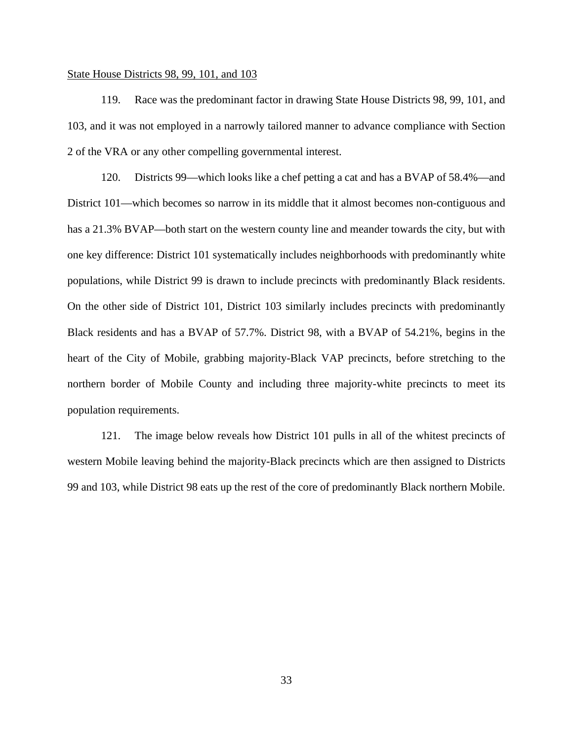### State House Districts 98, 99, 101, and 103

119. Race was the predominant factor in drawing State House Districts 98, 99, 101, and 103, and it was not employed in a narrowly tailored manner to advance compliance with Section 2 of the VRA or any other compelling governmental interest.

120. Districts 99—which looks like a chef petting a cat and has a BVAP of 58.4%—and District 101—which becomes so narrow in its middle that it almost becomes non-contiguous and has a 21.3% BVAP—both start on the western county line and meander towards the city, but with one key difference: District 101 systematically includes neighborhoods with predominantly white populations, while District 99 is drawn to include precincts with predominantly Black residents. On the other side of District 101, District 103 similarly includes precincts with predominantly Black residents and has a BVAP of 57.7%. District 98, with a BVAP of 54.21%, begins in the heart of the City of Mobile, grabbing majority-Black VAP precincts, before stretching to the northern border of Mobile County and including three majority-white precincts to meet its population requirements.

121. The image below reveals how District 101 pulls in all of the whitest precincts of western Mobile leaving behind the majority-Black precincts which are then assigned to Districts 99 and 103, while District 98 eats up the rest of the core of predominantly Black northern Mobile.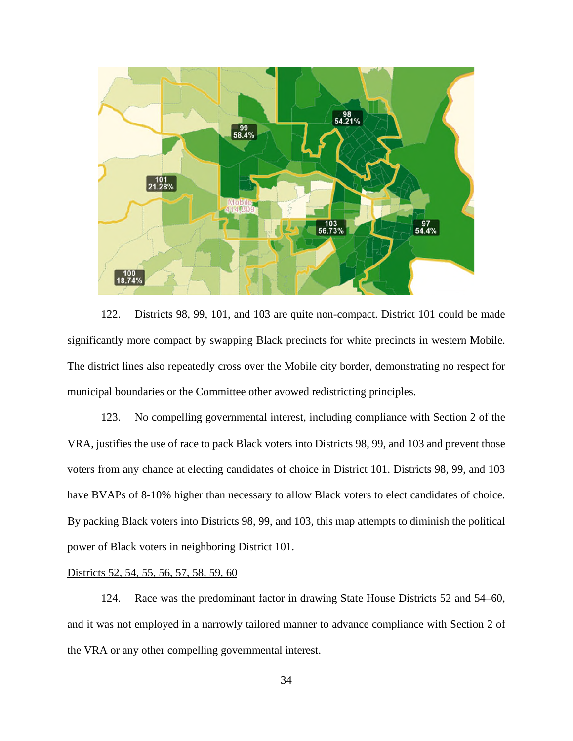

122. Districts 98, 99, 101, and 103 are quite non-compact. District 101 could be made significantly more compact by swapping Black precincts for white precincts in western Mobile. The district lines also repeatedly cross over the Mobile city border, demonstrating no respect for municipal boundaries or the Committee other avowed redistricting principles.

123. No compelling governmental interest, including compliance with Section 2 of the VRA, justifies the use of race to pack Black voters into Districts 98, 99, and 103 and prevent those voters from any chance at electing candidates of choice in District 101. Districts 98, 99, and 103 have BVAPs of 8-10% higher than necessary to allow Black voters to elect candidates of choice. By packing Black voters into Districts 98, 99, and 103, this map attempts to diminish the political power of Black voters in neighboring District 101.

# Districts 52, 54, 55, 56, 57, 58, 59, 60

124. Race was the predominant factor in drawing State House Districts 52 and 54–60, and it was not employed in a narrowly tailored manner to advance compliance with Section 2 of the VRA or any other compelling governmental interest.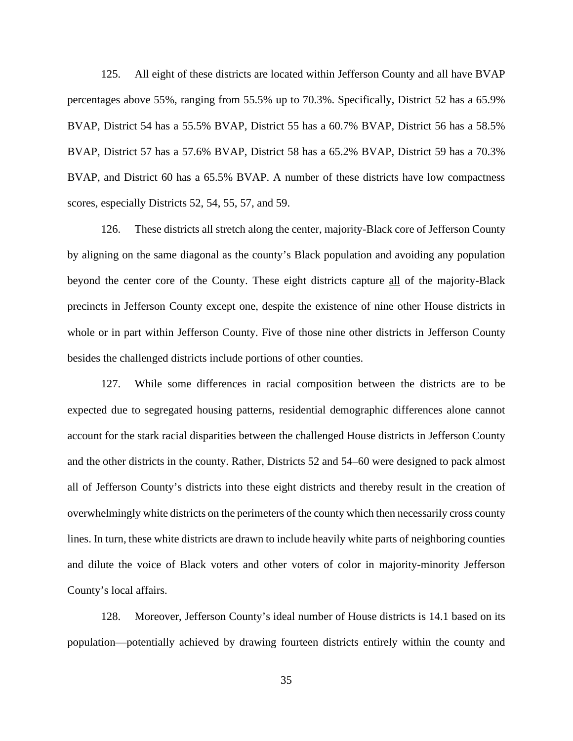125. All eight of these districts are located within Jefferson County and all have BVAP percentages above 55%, ranging from 55.5% up to 70.3%. Specifically, District 52 has a 65.9% BVAP, District 54 has a 55.5% BVAP, District 55 has a 60.7% BVAP, District 56 has a 58.5% BVAP, District 57 has a 57.6% BVAP, District 58 has a 65.2% BVAP, District 59 has a 70.3% BVAP, and District 60 has a 65.5% BVAP. A number of these districts have low compactness scores, especially Districts 52, 54, 55, 57, and 59.

126. These districts all stretch along the center, majority-Black core of Jefferson County by aligning on the same diagonal as the county's Black population and avoiding any population beyond the center core of the County. These eight districts capture all of the majority-Black precincts in Jefferson County except one, despite the existence of nine other House districts in whole or in part within Jefferson County. Five of those nine other districts in Jefferson County besides the challenged districts include portions of other counties.

127. While some differences in racial composition between the districts are to be expected due to segregated housing patterns, residential demographic differences alone cannot account for the stark racial disparities between the challenged House districts in Jefferson County and the other districts in the county. Rather, Districts 52 and 54–60 were designed to pack almost all of Jefferson County's districts into these eight districts and thereby result in the creation of overwhelmingly white districts on the perimeters of the county which then necessarily cross county lines. In turn, these white districts are drawn to include heavily white parts of neighboring counties and dilute the voice of Black voters and other voters of color in majority-minority Jefferson County's local affairs.

128. Moreover, Jefferson County's ideal number of House districts is 14.1 based on its population—potentially achieved by drawing fourteen districts entirely within the county and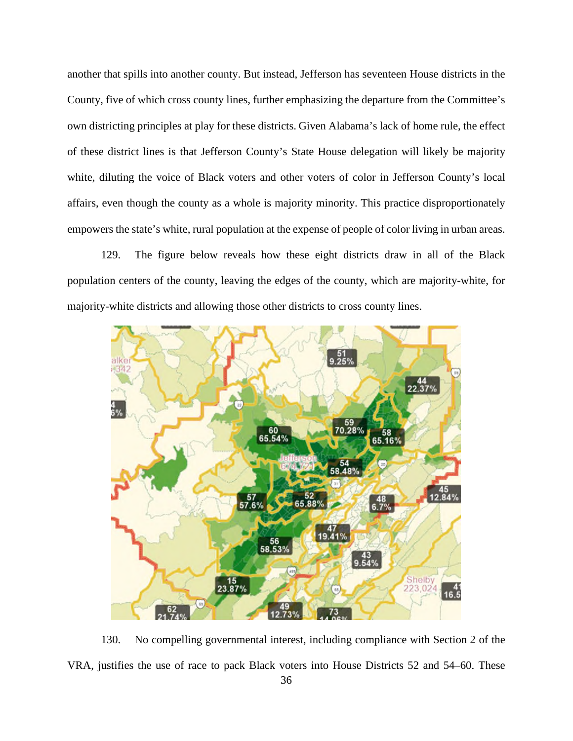another that spills into another county. But instead, Jefferson has seventeen House districts in the County, five of which cross county lines, further emphasizing the departure from the Committee's own districting principles at play for these districts. Given Alabama's lack of home rule, the effect of these district lines is that Jefferson County's State House delegation will likely be majority white, diluting the voice of Black voters and other voters of color in Jefferson County's local affairs, even though the county as a whole is majority minority. This practice disproportionately empowers the state's white, rural population at the expense of people of color living in urban areas.

129. The figure below reveals how these eight districts draw in all of the Black population centers of the county, leaving the edges of the county, which are majority-white, for majority-white districts and allowing those other districts to cross county lines.



130. No compelling governmental interest, including compliance with Section 2 of the VRA, justifies the use of race to pack Black voters into House Districts 52 and 54–60. These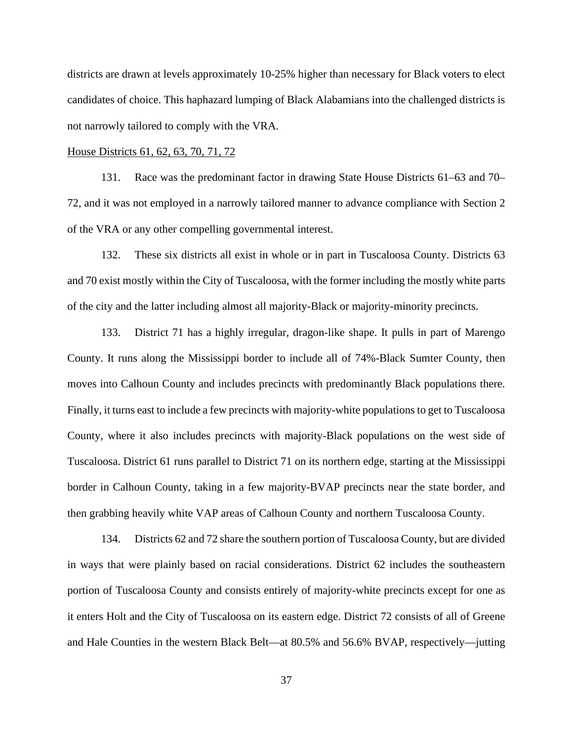districts are drawn at levels approximately 10-25% higher than necessary for Black voters to elect candidates of choice. This haphazard lumping of Black Alabamians into the challenged districts is not narrowly tailored to comply with the VRA.

### House Districts 61, 62, 63, 70, 71, 72

131. Race was the predominant factor in drawing State House Districts 61–63 and 70– 72, and it was not employed in a narrowly tailored manner to advance compliance with Section 2 of the VRA or any other compelling governmental interest.

132. These six districts all exist in whole or in part in Tuscaloosa County. Districts 63 and 70 exist mostly within the City of Tuscaloosa, with the former including the mostly white parts of the city and the latter including almost all majority-Black or majority-minority precincts.

133. District 71 has a highly irregular, dragon-like shape. It pulls in part of Marengo County. It runs along the Mississippi border to include all of 74%-Black Sumter County, then moves into Calhoun County and includes precincts with predominantly Black populations there. Finally, it turns east to include a few precincts with majority-white populations to get to Tuscaloosa County, where it also includes precincts with majority-Black populations on the west side of Tuscaloosa. District 61 runs parallel to District 71 on its northern edge, starting at the Mississippi border in Calhoun County, taking in a few majority-BVAP precincts near the state border, and then grabbing heavily white VAP areas of Calhoun County and northern Tuscaloosa County.

134. Districts 62 and 72 share the southern portion of Tuscaloosa County, but are divided in ways that were plainly based on racial considerations. District 62 includes the southeastern portion of Tuscaloosa County and consists entirely of majority-white precincts except for one as it enters Holt and the City of Tuscaloosa on its eastern edge. District 72 consists of all of Greene and Hale Counties in the western Black Belt—at 80.5% and 56.6% BVAP, respectively—jutting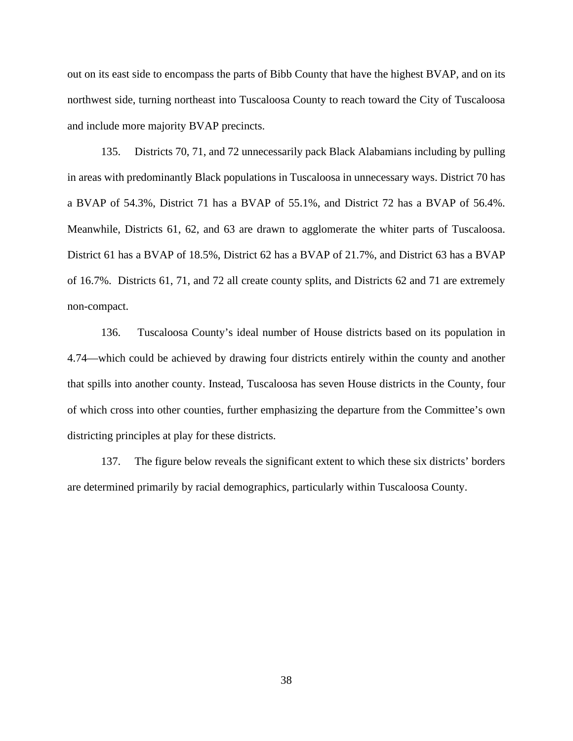out on its east side to encompass the parts of Bibb County that have the highest BVAP, and on its northwest side, turning northeast into Tuscaloosa County to reach toward the City of Tuscaloosa and include more majority BVAP precincts.

135. Districts 70, 71, and 72 unnecessarily pack Black Alabamians including by pulling in areas with predominantly Black populations in Tuscaloosa in unnecessary ways. District 70 has a BVAP of 54.3%, District 71 has a BVAP of 55.1%, and District 72 has a BVAP of 56.4%. Meanwhile, Districts 61, 62, and 63 are drawn to agglomerate the whiter parts of Tuscaloosa. District 61 has a BVAP of 18.5%, District 62 has a BVAP of 21.7%, and District 63 has a BVAP of 16.7%. Districts 61, 71, and 72 all create county splits, and Districts 62 and 71 are extremely non-compact.

136. Tuscaloosa County's ideal number of House districts based on its population in 4.74—which could be achieved by drawing four districts entirely within the county and another that spills into another county. Instead, Tuscaloosa has seven House districts in the County, four of which cross into other counties, further emphasizing the departure from the Committee's own districting principles at play for these districts.

137. The figure below reveals the significant extent to which these six districts' borders are determined primarily by racial demographics, particularly within Tuscaloosa County.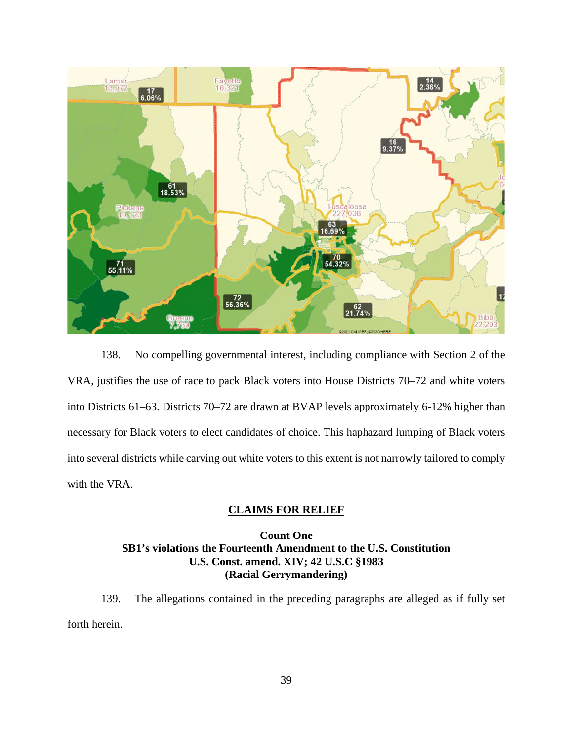

138. No compelling governmental interest, including compliance with Section 2 of the VRA, justifies the use of race to pack Black voters into House Districts 70–72 and white voters into Districts 61–63. Districts 70–72 are drawn at BVAP levels approximately 6-12% higher than necessary for Black voters to elect candidates of choice. This haphazard lumping of Black voters into several districts while carving out white voters to this extent is not narrowly tailored to comply with the VRA.

## **CLAIMS FOR RELIEF**

## **Count One SB1's violations the Fourteenth Amendment to the U.S. Constitution U.S. Const. amend. XIV; 42 U.S.C §1983 (Racial Gerrymandering)**

139. The allegations contained in the preceding paragraphs are alleged as if fully set forth herein.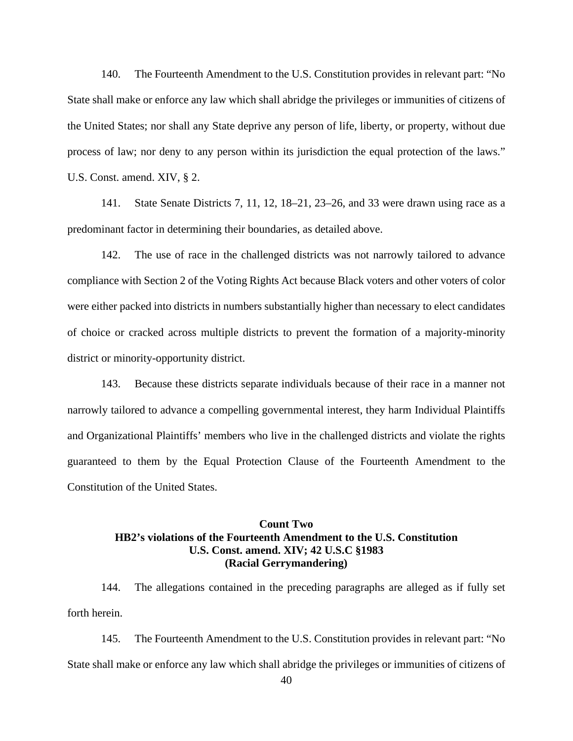140. The Fourteenth Amendment to the U.S. Constitution provides in relevant part: "No State shall make or enforce any law which shall abridge the privileges or immunities of citizens of the United States; nor shall any State deprive any person of life, liberty, or property, without due process of law; nor deny to any person within its jurisdiction the equal protection of the laws." U.S. Const. amend. XIV, § 2.

141. State Senate Districts 7, 11, 12, 18–21, 23–26, and 33 were drawn using race as a predominant factor in determining their boundaries, as detailed above.

142. The use of race in the challenged districts was not narrowly tailored to advance compliance with Section 2 of the Voting Rights Act because Black voters and other voters of color were either packed into districts in numbers substantially higher than necessary to elect candidates of choice or cracked across multiple districts to prevent the formation of a majority-minority district or minority-opportunity district.

143. Because these districts separate individuals because of their race in a manner not narrowly tailored to advance a compelling governmental interest, they harm Individual Plaintiffs and Organizational Plaintiffs' members who live in the challenged districts and violate the rights guaranteed to them by the Equal Protection Clause of the Fourteenth Amendment to the Constitution of the United States.

# **Count Two HB2's violations of the Fourteenth Amendment to the U.S. Constitution U.S. Const. amend. XIV; 42 U.S.C §1983 (Racial Gerrymandering)**

144. The allegations contained in the preceding paragraphs are alleged as if fully set forth herein.

145. The Fourteenth Amendment to the U.S. Constitution provides in relevant part: "No State shall make or enforce any law which shall abridge the privileges or immunities of citizens of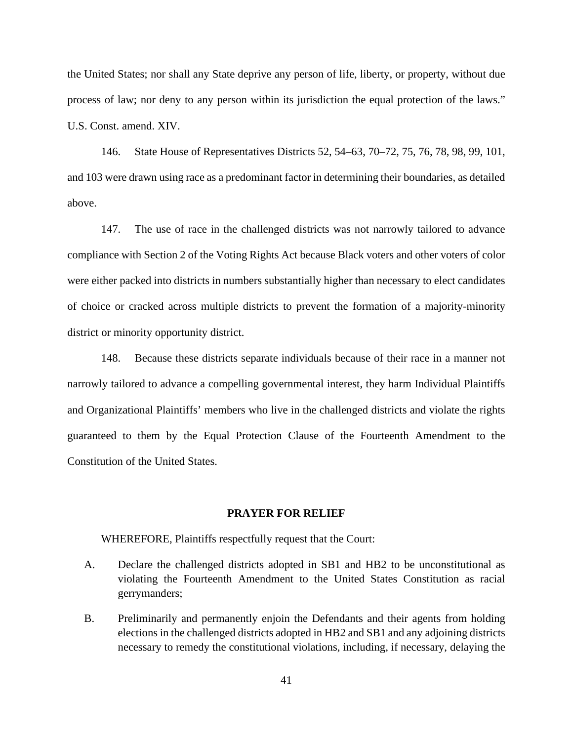the United States; nor shall any State deprive any person of life, liberty, or property, without due process of law; nor deny to any person within its jurisdiction the equal protection of the laws." U.S. Const. amend. XIV.

146. State House of Representatives Districts 52, 54–63, 70–72, 75, 76, 78, 98, 99, 101, and 103 were drawn using race as a predominant factor in determining their boundaries, as detailed above.

147. The use of race in the challenged districts was not narrowly tailored to advance compliance with Section 2 of the Voting Rights Act because Black voters and other voters of color were either packed into districts in numbers substantially higher than necessary to elect candidates of choice or cracked across multiple districts to prevent the formation of a majority-minority district or minority opportunity district.

148. Because these districts separate individuals because of their race in a manner not narrowly tailored to advance a compelling governmental interest, they harm Individual Plaintiffs and Organizational Plaintiffs' members who live in the challenged districts and violate the rights guaranteed to them by the Equal Protection Clause of the Fourteenth Amendment to the Constitution of the United States.

### **PRAYER FOR RELIEF**

WHEREFORE, Plaintiffs respectfully request that the Court:

- A. Declare the challenged districts adopted in SB1 and HB2 to be unconstitutional as violating the Fourteenth Amendment to the United States Constitution as racial gerrymanders;
- B. Preliminarily and permanently enjoin the Defendants and their agents from holding elections in the challenged districts adopted in HB2 and SB1 and any adjoining districts necessary to remedy the constitutional violations, including, if necessary, delaying the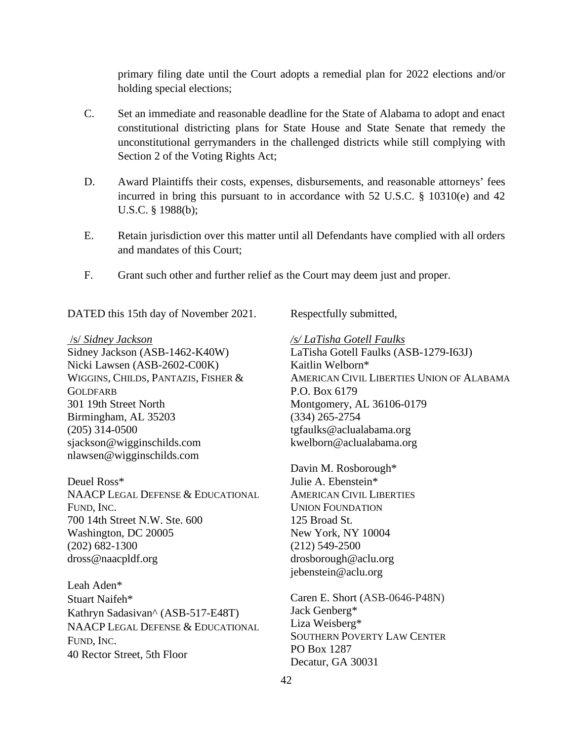primary filing date until the Court adopts a remedial plan for 2022 elections and/or holding special elections;

- C. Set an immediate and reasonable deadline for the State of Alabama to adopt and enact constitutional districting plans for State House and State Senate that remedy the unconstitutional gerrymanders in the challenged districts while still complying with Section 2 of the Voting Rights Act;
- D. Award Plaintiffs their costs, expenses, disbursements, and reasonable attorneys' fees incurred in bring this pursuant to in accordance with 52 U.S.C. § 10310(e) and 42 U.S.C. § 1988(b);
- E. Retain jurisdiction over this matter until all Defendants have complied with all orders and mandates of this Court;
- F. Grant such other and further relief as the Court may deem just and proper.

DATED this 15th day of November 2021.

### /s/ *Sidney Jackson*

Sidney Jackson (ASB-1462-K40W) Nicki Lawsen (ASB-2602-C00K) WIGGINS, CHILDS, PANTAZIS, FISHER & **GOLDFARB** 301 19th Street North Birmingham, AL 35203 (205) 314-0500 sjackson@wigginschilds.com nlawsen@wigginschilds.com

Deuel Ross\* NAACP LEGAL DEFENSE & EDUCATIONAL FUND, INC. 700 14th Street N.W. Ste. 600 Washington, DC 20005 (202) 682-1300 dross@naacpldf.org

Leah Aden\* Stuart Naifeh\* Kathryn Sadasivan^ (ASB-517-E48T) NAACP LEGAL DEFENSE & EDUCATIONAL FUND, INC. 40 Rector Street, 5th Floor

Respectfully submitted,

*/s/ LaTisha Gotell Faulks*  LaTisha Gotell Faulks (ASB-1279-I63J) Kaitlin Welborn\* AMERICAN CIVIL LIBERTIES UNION OF ALABAMA P.O. Box 6179 Montgomery, AL 36106-0179 (334) 265-2754 tgfaulks@aclualabama.org kwelborn@aclualabama.org

Davin M. Rosborough\* Julie A. Ebenstein\* AMERICAN CIVIL LIBERTIES UNION FOUNDATION 125 Broad St. New York, NY 10004 (212) 549-2500 drosborough@aclu.org jebenstein@aclu.org

Caren E. Short (ASB-0646-P48N) Jack Genberg\* Liza Weisberg\* SOUTHERN POVERTY LAW CENTER PO Box 1287 Decatur, GA 30031